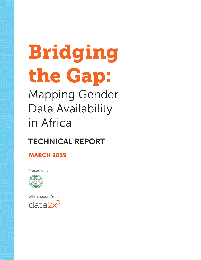# Bridging the Gap: Mapping Gender Data Availability in Africa

## TECHNICAL REPORT

## **MARCH 2019**

Prepared by



With support fromdata2 $\times$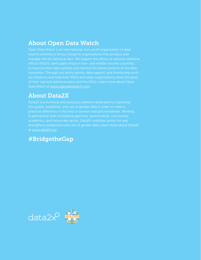## About Open Data Watch

manage official statistical data. We support the efforts of national statistical revolution. Through our policy advice, data support, and monitoring work, of their national statistical plans and the SDGs. Learn more about Open Data Watch at [www.opendatawatch.com](http://www.opendatawatch.com)

## About Data2X

in partnership with multilateral agencies, governments, civil society, strengthens production and use of gender data. Learn more about Data2X at [www.data2x.org](http://www.data2x.org)

## #BridgetheGap

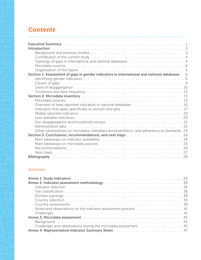## **Contents**

| Section 1: Assessment of gaps in gender indicators in international and national databases 6 |  |
|----------------------------------------------------------------------------------------------|--|
|                                                                                              |  |
|                                                                                              |  |
|                                                                                              |  |
|                                                                                              |  |
|                                                                                              |  |
|                                                                                              |  |
|                                                                                              |  |
|                                                                                              |  |
|                                                                                              |  |
|                                                                                              |  |
|                                                                                              |  |
|                                                                                              |  |
| Other observations on microdata, metadata documentation, and adherence to standards 23       |  |
|                                                                                              |  |
|                                                                                              |  |
|                                                                                              |  |
|                                                                                              |  |
|                                                                                              |  |
|                                                                                              |  |

#### Annexes

| Notes and observations on the indicator assessment process 41   |
|-----------------------------------------------------------------|
|                                                                 |
|                                                                 |
|                                                                 |
| Challenges and observations during the microdata assessment  45 |
|                                                                 |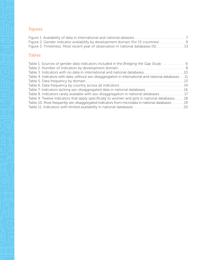## Figures

| Figure 2. Gender indicator availability by development domain (for 15 countries) 9 |  |
|------------------------------------------------------------------------------------|--|
|                                                                                    |  |

### Tables

| Table 1. Sources of gender data indicators included in the Bridging the Gap Study 6                   |
|-------------------------------------------------------------------------------------------------------|
|                                                                                                       |
|                                                                                                       |
| Table 4. Indicators with data, without sex-disaggregation in international and national databases 11  |
|                                                                                                       |
|                                                                                                       |
|                                                                                                       |
| Table 8. Indicators rarely available with sex-disaggregation in national databases 17                 |
| 18. 18 Table 9. Twelve indicators that apply specifically to women and girls in national databases 18 |
| Table 10. Most frequently sex-disaggregated indicators from microdata in national databases19         |
|                                                                                                       |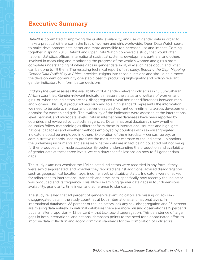## <span id="page-4-0"></span>Executive Summary

Data2X is committed to improving the quality, availability, and use of gender data in order to make a practical difference in the lives of women and girls worldwide. Open Data Watch seeks to make development data better and more accessible for increased use and impact. Coming together in spring 2018, Data2X and Open Data Watch conceived a study that would offer national statistical offices, international statistical systems, development partners, and others involved in measuring and monitoring the progress of the world's women and girls a more complete understanding of where gaps in gender data exist, why such gaps occur, and what can be done to fill them. The resulting technical report of this study, *Bridging the Gap: Mapping Gender Data Availability in Africa*, provides insights into those questions and should help move the development community one step closer to producing high-quality and policy-relevant gender indicators to inform better decisions.

*Bridging the Gap* assesses the availability of 104 gender-relevant indicators in 15 Sub-Saharan African countries. Gender-relevant indicators measure the status and welfare of women and girls, or, when the indicators are sex-disaggregated reveal pertinent differences between men and women. This list, if produced regularly and to a high standard, represents the information we need to be able to monitor and deliver on at least current commitments across development domains for women and girls. The availability of the indicators were assessed at the international level, national, and microdata levels. Data in international databases have been reported by countries and reviewed by custodian agencies. Data in national databases show whether countries follow methodologies different from those in international sources and highlights national capacities and whether methods employed by countries with sex-disaggregated indicators could be employed in others. Exploration of the microdata – census, survey, or administrative records used to produce the most recent estimate of the indicator – pinpoints the underlying instruments and assesses whether data are in fact being collected but not being further produced and made accessible. By better understanding the production and availability of gender data at these three levels, we can draw specific lessons on how to fill gender data gaps.

The study examines whether the 104 selected indicators were recorded in any form, if they were sex-disaggregated, and whether they reported against additional advised disaggregation such as geographical location, age, income level, or disability status. Indicators were checked for adherence to international standards and timeliness, specifically how recently the indicator was produced and its frequency. This allows examining gender data gaps in four dimensions: availability, granularity, timeliness, and adherence to standards.

The study revealed that 48 percent of gender-relevant indicators are missing or lack sexdisaggregated data in the study countries at both international and national levels. In international databases, 22 percent of the indicators lack any sex-disaggregation and 26 percent are missing data entirely. In national databases there are more missing observations (35 percent) but a smaller proportion – 13 percent – that lack sex-disaggregation. This persistence of large gaps in both international and national databases points to the need for a coordinated effort to improve data collection and adopt common standards for the compilation of indicators.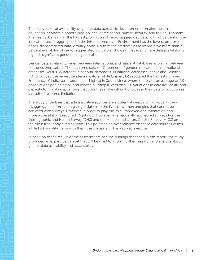The study looks at availability of gender data across six development domains: health, education, economic opportunity, political participation, human security, and the environment. The health domain has the highest proportion of sex-disaggregated data, with 73 percent of the indicators sex-disaggregated at the international level. Environment has the lowest proportion of sex-disaggregated data, virtually none. None of the six domains assessed have more than 73 percent availability of sex-disaggregated indicators, showing that even where data availability is highest, significant gender data gaps exist.

Gender data availability varies between international and national databases as well as between countries themselves. There is some data for 74 percent of gender indicators in international databases, versus 65 percent in national databases. In national databases, Kenya and Lesotho (54) produced the fewest gender indicators, while Ghana (83) produced the highest number. Frequency of indicator production is highest in South Africa, where there was an average of 4.9 observations per indicator, and lowest in Ethiopia, with only 1.1. Variations in data availability and capacity to fill data gaps shows that countries make difficult choices in their data production as a result of resource limitation.

The study underlines that administrative sources are a potential wealth of high-quality sexdisaggregated information giving insight into the lives of women and girls that cannot be achieved with surveys. However, in order to play this role, improved documentation and more accessibility is required. Right now, however, internationally sponsored surveys like the Demographic and Health Survey (DHS) and the Multiple Indicators Cluster Survey (MICS) are the most frequently cited sources. This points to an over reliance on these data sources which, while high-quality, carry with them the limitations of any survey exercise.

In addition to the results of the assessments and the findings described in this report, the study produced an expansive dataset that will be used to inform further research and analysis about gender data availability and accessibility.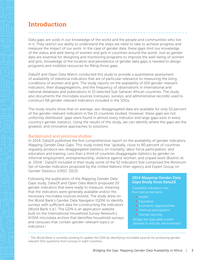<span id="page-6-0"></span>Data gaps are voids in our knowledge of the world and the people and communities who live in it. They restrict our ability to understand the steps we need to take to achieve progress and measure the impact of our work. In the case of gender data, these gaps limit our knowledge of the status and well-being of women and girls in countries around the world. Just as gender data are essential for designing and monitoring programs to improve the well-being of women and girls, knowledge of the location and persistence of gender data gaps is needed to design programs and mobilize resources for filling those gaps.

Data2X and Open Data Watch conducted this study to provide a quantitative assessment of availability of statistical indicators that are of particular relevance to measuring the living conditions of women and girls. The study reports on the availability of 104 gender-relevant indicators, their disaggregations, and the frequency of observations in international and national databases and publications in 15 selected Sub-Saharan African countries. The study also documents the microdata sources (censuses, surveys, and administrative records) used to construct 68 gender-relevant indicators included in the SDGs.

The study results show that on average, sex-disaggregated data are available for only 52 percent of the gender-relevant indicators in the 15 countries studied. However, these gaps are not uniformly distributed: gaps were found in almost every indicator and large gaps exist in every country's gender statistics. Using the results of this study, we can identify where the gaps are the greatest, and innovative approaches to solutions.

#### Background and previous studies

In 2014, Data2X published the first comprehensive report on the availability of gender indicators, *Mapping Gender Data Gaps*. This study noted that "globally, close to 80 percent of countries regularly produce sex-disaggregated statistics on mortality, labor force participation, and education and training. Less than a third of countries disaggregate statistics by gender on informal employment, entrepreneurship, violence against women, and unpaid work (Buvinic et. al. 2014)." Data2X included in their study some of the 52 indicators that comprised the Minimum Set of Gender Indicators proposed by the United Nations Inter-agency and Expert Group on Gender Statistics (UNSC 2013).

Following the publication of the *Mapping Gender Data Gaps* study, Data2X and Open Data Watch proposed 20 gender indicators that were ready to measure, meaning that the indicators were generally available and/or the necessary microdata sources existed. The study drew on the World Bank's Gender Data Navigator (GDN) to identify surveys with sufficient data for constructing the indicators (World Bank n.d.). The GDN is an application website built on the International Household Survey Network's (IHSN) microdata archive that identifies household surveys and censuses that contain gender-relevant topics or indicators.1

#### *2014 Mapping Gender Data Gaps* Study from Data2X

Classified indicators into five topical domains:

- Health
- Education
- **Economic opportunities**
- **Political participation**
- Human security

*Bridge the Gap* adds a sixth domain to this list: environment.

<sup>1</sup> The World Bank is currently working to update the GDN by identifying microdata sources for producing genderrelevant SDG questions from surveys in eight countries.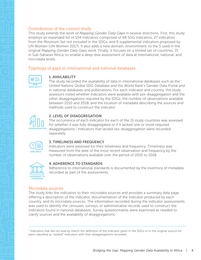<span id="page-7-0"></span>This study extends the work of *Mapping Gender Data Gaps* in several directions. First, this study employs an expanded list of 104 indicators comprised of 68 SDG indicators, 27 indicators from the Minimum Set not included in the SDGs, and 9 supplemental indicators proposed by UN Women (UN Women 2017). It also adds a new domain, environment, to the 5 used in the original *Mapping Gender Data Gaps* work. Finally, it focuses on a limited set of countries, 15 in Sub-Saharan Africa, to enable a deep dive assessment of data at international, national, and microdata levels.

#### Typology of gaps in international and national databases



#### 1. AVAILABILITY

The study recorded the availability of data in international databases such as the United Nations Global SDG Database and the World Bank's Gender Data Portal and in national databases and publications. For each indicator and country, the study assessors noted whether indicators were available with sex-disaggregation and the other disaggregations required by the SDGs, the number of observations available between 2010 and 2018, and the location of metadata describing the sources and methods used to construct the indicator.



#### 2. LEVEL OF DISAGGREGATION

The occurrence of each indicator for each of the 15 study countries was assessed for whether it was fully disaggregated or if it lacked one or more required disaggregations.2 Indicators that lacked sex-disaggregation were recorded separately.



#### 3. TIMELINESS AND FREQUENCY

Indicators were assessed for their timeliness and frequency. Timeliness was measured from the date of the most recent observation and frequency by the number of observations available over the period of 2010 to 2018.



#### 4. ADHERENCE TO STANDARDS

Adherence to international standards is documented by the inventory of metadata recorded as part of the assessments.

#### Microdata sources

The study links the indicators to their microdata sources and provides a summary data page offering a description of the indicator, documentation of the indicator produced by each country, and its microdata sources. The information recorded during the indicator assessments was used to identify the censuses, surveys, or administrative records used to construct the indicators found in national databases. Survey questionnaires were examined as needed to clarify sources and the availability of disaggregations.

<sup>2</sup> Indicators that did not exactly match the definition of the indicator given in the SDGs or in the original source list were classified as "related" indicators with their disaggregations recorded.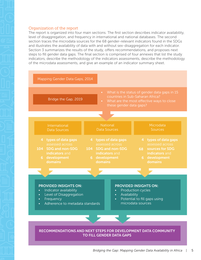<span id="page-8-0"></span>The report is organized into four main sections. The first section describes indicator availability, level of disaggregation, and frequency in international and national databases. The second section traces the microdata sources for the 68 gender-relevant indicators found in the SDGs and illustrates the availability of data with and without sex-disaggregation for each indicator. Section 3 summarizes the results of the study, offers recommendations, and proposes next steps to fill gender data gaps. The final section is comprised of four annexes that list the study indicators, describe the methodology of the indicators assessments, describe the methodology of the microdata assessments, and give an example of an indicator summary sheet.

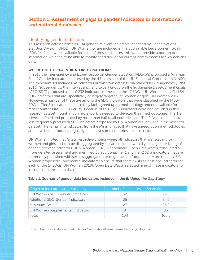#### <span id="page-9-0"></span>Identifying gender indicators

This research dataset contains 104 gender-relevant indicators identified by United Nations Statistics Division (UNSD), UN Women, or are included in the Sustainable Development Goals  $(SDGs).$ <sup>3</sup> If data were available for each of these indicators, this would provide a portion of the information we need to be able to monitor and deliver on current commitments for women and girls.

#### WHERE DID THE 104 INDICATORS COME FROM?

In 2013 the Inter-agency and Expert Group on Gender Statistics (IAEG-GS) proposed a Minimum Set of Gender Indicators endorsed by the 44th session of the UN Statistical Commission (UNSC). The minimum set includes 52 indicators drawn from datasets maintained by UN agencies (UNSC 2013). Subsequently, the Inter-agency and Expert Group on the Sustainable Development Goals (IAEG-SDG) proposed a set of 232 indicators to measure the 17 SDGs. UN Women identified 54 SDG indicators that are "specifically or largely targeted" at women or girls (UN Women 2017). However, a number of these are among the SDG indicators that were classified by the IAEG-SDG as Tier 3 indicators because they lack agreed upon methodology and not available for most countries (IAEG-SDG 2018). Because of this, Tier 3 indicators were not included in this research dataset though much more work is needed to develop their methodologies. The Tier 1 (well-defined and produced by more than half of all countries) and Tier 2 (well-defined but less frequently produced) SDG indicators proposed by UN Women are included in the research dataset. The remaining indicators from the Minimum Set that have agreed upon methodologies and have been produced regularly in at least some countries are also included.

UN Women noted that "a less restrictive criteria where all indicators that are relevant for women and girls and can be disaggregated by sex are included would yield a greater listing of gender-relevant indicators." (UN Women 2018). Accordingly, Open Data Watch conducted a more detailed assessment and identified 36 additional Tier 1 and Tier 2 SDG indicators that are commonly published with sex-disaggregation or might be at a future date. More recently, UN Women proposed supplemental indicators to ensure that there exists at least one indicator for each of the 17 SDGs (UN Women 2018). Open Data Watch selected nine of these indicators to include in the research dataset.

| Origin of indicators and availability | Number of indicators | Share $(\%)$ |
|---------------------------------------|----------------------|--------------|
| UN Women SDG Gender Indicators        | 32                   | 29 R         |
| Additional SDG Gender Indicators      | 36                   | 34.6         |
| Minimum Set                           | 27                   | 269          |
| UN Women Supplemental Indicators      | Ч                    | 87           |
| Total                                 | 104                  | 100 Q        |

#### Table 1. Sources of gender data indicators included in the *Bridging the Gap Study*

 $3$  The full set of indicators is listed in Annex 1 and Table A1 summarizes their original source.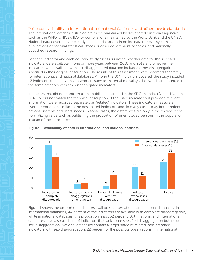#### <span id="page-10-0"></span>Indicator availability in international and national databases and adherence to standards

The international databases studied are those maintained by designated custodian agencies such as the WHO, UNICEF, ILO, or compilations maintained by the World Bank and the UNSD. National data covered by the study included databases in online data retrieval systems, online publications of national statistical offices or other government agencies, and nationally published research findings.

For each indicator and each country, study assessors noted whether data for the selected indicators were available in one or more years between 2010 and 2018 and whether the indicators were available with sex-disaggregated data and included other disaggregations specified in their original description. The results of this assessment were recorded separately for international and national databases. Among the 104 indicators covered, the study included 12 indicators that apply only to women, such as maternal mortality, all of which are counted in the same category with sex-disaggregated indicators.

Indicators that did not conform to the published standard in the SDG metadata (United Nations 2018) or did not match the technical description of the listed indicator but provided relevant information were recorded separately as "related" indicators. These indicators measure an event or condition similar to the designated indicators and, in many cases, may better reflect national systems and users' needs. In some cases, the differences are only in the choice of the normalizing value such as publishing the proportion of unemployed persons in the population instead of the labor force.



#### Figure 1. Availability of data in international and national datasets

Figure 1 shows the proportion indicators available in international and national databases. In international databases, 44 percent of the indicators are available with complete disaggregation, while in national databases, this proportion is just 32 percent. Both national and international databases have a small share of indicators that lack some specified disaggregation but include sex-disaggregation. National databases contain a larger share of related, non-standard indicators with sex-disaggregation. 22 percent of the possible observations in international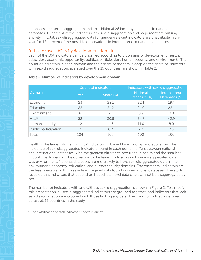<span id="page-11-0"></span>databases lack sex-disaggregation and an additional 26 lack any data at all. In national databases, 12 percent of the indicators lack sex-disaggregation and 35 percent are missing entirely. In total, sex-disaggregated data for gender-relevant indicators are unavailable in any year for 48 percent of the possible observations in international or national databases.

#### Indicator availability by development domain

Each of the 104 indicators can be classified according to 6 domains of development: health, education, economic opportunity, political participation, human security, and environment.<sup>4</sup> The count of indicators in each domain and their share of the total alongside the share of indicators with sex-disaggregation, averaged over the 15 countries, are shown in Table 2.

|                      | Count of indicators |              | Indicators with sex-disaggregation |                                |  |
|----------------------|---------------------|--------------|------------------------------------|--------------------------------|--|
| Domain               | <b>Total</b>        | Share $(\%)$ | <b>National</b><br>Databases (%)   | International<br>Databases (%) |  |
| Economy              | 23                  | 22.1         | 22.1                               | 19.4                           |  |
| Education            | 22                  | 21.2         | 24.0                               | 22.1                           |  |
| Environment          | 8                   | 77           | 0.9                                | 0.0                            |  |
| Health               | 32                  | 30.8         | 34.7                               | 42.9                           |  |
| Human security       | 12                  | 11.5         | 11.0                               | 8.0                            |  |
| Public participation |                     | 6.7          | 7.3                                | 7.6                            |  |
| Total                | 104                 | 100          | 100                                | 100                            |  |

#### Table 2. Number of indicators by development domain

Health is the largest domain with 32 indicators, followed by economy, and education. The incidence of sex-disaggregated indicators found in each domain differs between national and international databases, with the greatest difference occurring in health and the smallest in public participation. The domain with the fewest indicators with sex-disaggregated data was environment. National databases are more likely to have sex-disaggregated data in the environment, economy, education, and human security domains. Environmental indicators are the least available, with no sex-disaggregated data found in international databases. The study revealed that indicators that depend on household-level data often cannot be disaggregated by sex.

The number of indicators with and without sex-disaggregation is shown in Figure 2. To simplify this presentation, all sex-disaggregated indicators are grouped together, and indicators that lack sex-disaggregation are grouped with those lacking any data. The count of indicators is taken across all 15 countries in the study.

4 The classification of each indicator is shown in Annex 1.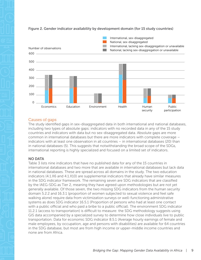

#### <span id="page-12-0"></span>Figure 2. Gender indicator availability by development domain (for 15 study countries)

#### Causes of gaps

The study identified gaps in sex-disaggregated data in both international and national databases, including two types of absolute gaps: indicators with no recorded data in any of the 15 study countries and indicators with data but no sex-disaggregated data. Absolute gaps are more common in international databases but there are more indicators with complete coverage – indicators with at least one observation in all countries – in international databases (20) than in national databases (5). This suggests that notwithstanding the broad scope of the SDGs, international reporting is highly specialized and focused on a limited set of indicators.

#### NO DATA

Table 3 lists nine indicators that have no published data for any of the 15 countries in international databases and two more that are available in international databases but lack data in national databases. These are spread across all domains in the study. The two education indicators (4.1.X6 and 4.1.X10) are supplemental indicators that already have similar measures in the SDG indicator framework. The remaining seven are SDG indicators that are classified by the IAEG-SDG as Tier 2, meaning they have agreed upon methodologies but are not yet generally available. Of those seven, the two missing SDG indicators from the human security domain 5.2.2 and 16.3.1 (proportion of women subjected to sexual violence and feel safe walking alone) require data from victimization surveys or well-functioning administrative systems as does SDG indicator 16.5.1 (Proportion of persons who had at least one contact with a public official and who paid a bribe to a public official). The environment SDG indicator 11.2.1 (access to transportation) is difficult to measure: the SDG methodology suggests using GIS data accompanied by a specialized survey to determine how close individuals live to public transportation. Data for economic SDG indicator 8.5.1 (Average hourly earnings of female and male employees, by occupation, age and persons with disabilities) are available for 64 countries in the SDG database, but most are from high income or upper-middle income countries and none are from Africa.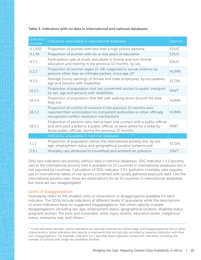#### <span id="page-13-0"></span>Table 3. Indicators with no data in international and national databases

| Indicator<br>number | Indicators unavailable in international databases                                                                                                                                                             | Domain      |
|---------------------|---------------------------------------------------------------------------------------------------------------------------------------------------------------------------------------------------------------|-------------|
| 4.1.X10             | Proportion of women with less than a high school diploma                                                                                                                                                      | <b>EDUC</b> |
| $4.1\times 6$       | Proportion of women with six or less years of education                                                                                                                                                       | <b>EDUC</b> |
| 4.3.1               | Participation rate of youth and adults in formal and non-formal<br>education and training in the previous 12 months, by sex                                                                                   | <b>EDUC</b> |
| 5.2.2               | Proportion of women (aged 15-49) subjected to sexual violence by<br>persons other than an intimate partner, since age 15*                                                                                     | <b>HUMN</b> |
| 8.5.1               | Average hourly earnings of female and male employees, by occupation,<br>age and persons with disabilities                                                                                                     | <b>ECON</b> |
| 11.2.1              | Proportion of population that has convenient access to public transport,<br>by sex, age and persons with disabilities                                                                                         | <b>ENVT</b> |
| 16.1.4              | Proportion of population that feel safe walking alone around the area<br>they live                                                                                                                            | <b>HUMN</b> |
| 16.3.1              | Proportion of victims of violence in the previous 12 months who<br>reported their victimization to competent authorities or other officially<br>recognized conflict resolution mechanisms                     | <b>HUMN</b> |
| 16.5.1              | Proportion of persons who had at least one contact with a public official<br>and who paid a bribe to a public official, or were asked for a bribe by<br>those public officials, during the previous 12 months | <b>PART</b> |
|                     | Indicators unavailable in national databases                                                                                                                                                                  |             |
| 1.1.1               | Proportion of population below the international poverty line, by sex,<br>age, employment status and geographical location (urban/rural)                                                                      | <b>ECON</b> |
| 3.9.1               | Mortality rate attributed to household and ambient air pollution                                                                                                                                              | <b>ENVT</b> |

Only two indicators are entirely without data in national databases. SDG Indicator 1.1.1 (poverty rate at the international poverty line) is available for 13 countries in international databases but is not reported by countries. Calculation of SDG indicator 3.9.1 (pollution mortality rate) requires use of international tables of risk factors combined with locally gathered exposure data. Like the international poverty rate, there are observations for all 15 countries in international databases, but none are sex-disaggregated.

#### Level of disaggregation

Granularity refers to the smallest units of observation or disaggregation available for each indicator. The SDGs include indicators at different levels of granularity while the descriptions of some indicators have no suggested disaggregations. Still others specify multiple disaggregations, including sex, age, employment status, geographical location, disability status, pregnant women, the poor and vulnerable, work-injury victims, education levels, indigenous status, enterprise size, and others.<sup>5</sup>

<sup>5</sup> In the education domain, where indicators are typically reported by school stage and disaggregated by sex or other characteristics, some indicators also specify components that are typically recorded as separate indicators with their own disaggregations. For example, indicator 4.a.1 specifies seven separate component indicators, including the number of schools with single sex sanitation facilities.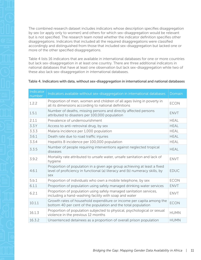<span id="page-14-0"></span>The combined research dataset includes indicators whose description specifies disaggregation by sex (or apply only to women) and others for which sex-disaggregation would be relevant but is not specified. The research team noted whether the indicator definition specifies other disaggregations. Indicators that included all the required disaggregations were classified accordingly and distinguished from those that included sex-disaggregation but lacked one or more of the other specified disaggregations.

Table 4 lists 16 indicators that are available in international databases for one or more countries but lack sex-disaggregation in at least one country. There are three additional indicators in national databases that have at least one observation but lack sex-disaggregation while two of these also lack sex-disaggregation in international databases.

|  |  |  | Table 4. Indicators with data, without sex-disaggregation in international and national databases |
|--|--|--|---------------------------------------------------------------------------------------------------|
|--|--|--|---------------------------------------------------------------------------------------------------|

| Indicator<br>number | Indicators available without sex-disaggregation in international databases                                                                                     | Domain      |
|---------------------|----------------------------------------------------------------------------------------------------------------------------------------------------------------|-------------|
| 1.2.2               | Proportion of men, women and children of all ages living in poverty in<br>all its dimensions according to national definitions                                 | <b>ECON</b> |
| 1.5.1               | Number of deaths, missing persons and directly affected persons<br>attributed to disasters per 100,000 population                                              | <b>ENVT</b> |
| 2.1.1               | Prevalence of undernourishment                                                                                                                                 | <b>HEAL</b> |
| 3.3Y                | Access to anti-retroviral drug, by sex                                                                                                                         | <b>HEAL</b> |
| 3.3.3               | Malaria incidence per 1,000 population                                                                                                                         | <b>HEAL</b> |
| 3.6.1               | Death rate due to road traffic injuries                                                                                                                        | <b>HEAL</b> |
| 3.3.4               | Hepatitis B incidence per 100,000 population                                                                                                                   | <b>HEAL</b> |
| 3.3.5               | Number of people requiring interventions against neglected tropical<br>diseases                                                                                | <b>HEAL</b> |
| 3.9.2               | Mortality rate attributed to unsafe water, unsafe sanitation and lack of<br>hygiene                                                                            | <b>ENVT</b> |
| 4.6.1               | Proportion of population in a given age group achieving at least a fixed<br>level of proficiency in functional (a) literacy and (b) numeracy skills, by<br>sex | <b>EDUC</b> |
| 5.b.1               | Proportion of individuals who own a mobile telephone, by sex                                                                                                   | <b>ECON</b> |
| 6.1.1               | Proportion of population using safely managed drinking water services                                                                                          | <b>ENVT</b> |
| 6.2.1               | Proportion of population using safely managed sanitation services,<br>including a hand-washing facility with soap and water                                    | <b>ENVT</b> |
| 10.1.1              | Growth rates of household expenditure or income per capita among the<br>bottom 40 per cent of the population and the total population                          | <b>ECON</b> |
| 16.1.3              | Proportion of population subjected to physical, psychological or sexual<br>violence in the previous 12 months                                                  | <b>HUMN</b> |
| 16.3.2              | Unsentenced detainees as a proportion of overall prison population                                                                                             | <b>HUMN</b> |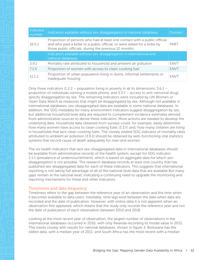<span id="page-15-0"></span>

| Indicator<br>number | Indicators available without sex-disaggregation in national databases                                                                                                                                         | Domain      |
|---------------------|---------------------------------------------------------------------------------------------------------------------------------------------------------------------------------------------------------------|-------------|
| 16.5.1              | Proportion of persons who had at least one contact with a public official<br>and who paid a bribe to a public official, or were asked for a bribe by<br>those public officials, during the previous 12 months | PART        |
|                     | Indicators available without sex-disaggregation in international and<br>national databases                                                                                                                    |             |
| 3.9.1               | Mortality rate attributed to household and ambient air pollution                                                                                                                                              | <b>FNVT</b> |
| 7.1.X               | Proportion of women with access to clean cooking fuel                                                                                                                                                         | <b>ENVT</b> |
| 11.1.1              | Proportion of urban population living in slums, informal settlements or<br>inadequate housing                                                                                                                 | <b>ENVT</b> |

Only three indicators (1.2.2 – population living in poverty in all its dimensions,  $5.b.1$ proportion of individuals owning a mobile phone, and 3.3.Y – access to anti-retroviral drug) specify disaggregation by sex. The remaining indicators were included by UN Women or Open Data Watch as measures that might be disaggregated by sex. Although not available in international databases, sex-disaggregated data are available in some national databases. In addition, the SDG metadata for many environment indicators suggest disaggregation by sex, but additional household level data are required to complement incidence estimates derived from administrative sources to derive these indicators. More actions are needed to develop the underlying data. Household data obtained from surveys could, for example, easily determine how many women have access to clean cooking fuels (3.3.Y) and, how many children are living in households that lack clean cooking fuels. The closely related SDG indicator of mortality rates attributed to ambient air pollution (3.9.1) should be obtained by well-functioning vital statistics systems that record cause of death adequately for men and women.

The six health indicators that lack sex-disaggregated data in international databases should be available from administrative records of the health system, except for SDG indicator 2.1.1 (prevalence of undernourishment), which is based on aggregate data for which sexdisaggregation is not possible. The research database records at least one country that has published sex-disaggregated data for each of these indicators. This suggests that international reporting is not taking full advantage of all of the national level data that are available But many gaps remain at the national level, indicating a continuing need to upgrade the monitoring and reporting mechanisms for these and other indicators.

#### Timeliness and data frequency

Timeliness refers to the gap between the reference year of an observation and the time when it becomes available to data users. Inevitably, time lags exist between the date when data are recorded and the date of publication. However, with online data it is not apparent when an observation first appeared, which means that the study only records the reference year and not the date of publication of each observation between 2010 and 2018.

Looking at the most recent year of observation, the largest number of observations in the international databases occurred in 2016, with only Rwanda recording its modal value in 2015. This tracks closely with results for national databases, shown in figure 3. Botswana has the oldest data, with a median year of 2011; and South Africa has the most recent with a median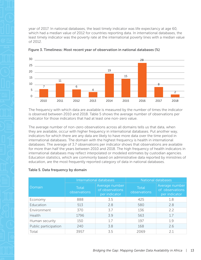<span id="page-16-0"></span>year of 2017. In national databases, the least timely indicator was life expectancy at age 60, which had a median value of 2012 for countries reporting data. In international databases, the least timely indicator was the poverty rate at the international poverty lines with a median value of 2012.





The frequency with which data are available is measured by the number of times the indicator is observed between 2010 and 2018. Table 5 shows the average number of observations per indicator for those indicators that had at least one non-zero value.

The average number of non-zero observations across all domains tells us that data, when they are available, occur with higher frequency in international databases. Put another way, indicators for which there are any data are likely to have more data over the time period in international databases. The domain with the highest frequency is health in international databases. The average of 3.7 observations per indicator shows that observations are available for more than half the years between 2010 and 2018. The high frequency of health indicators in international databases may reflect interpolated or modeled estimates by custodian agencies. Education statistics, which are commonly based on administrative data reported by ministries of education, are the most frequently reported category of data in national databases.

#### Table 5. Data frequency by domain

|                      | International databases |                                                    | National databases    |                                                    |
|----------------------|-------------------------|----------------------------------------------------|-----------------------|----------------------------------------------------|
| Domain               | Total<br>observations   | Average number<br>of observations<br>per indicator | Total<br>observations | Average number<br>of observations<br>per indicator |
| Economy              | 888                     | 3.5                                                | 425                   | 1.8                                                |
| Education            | 513                     | 2.8                                                | 580                   | 2.8                                                |
| Environment          | 370                     | 37                                                 | 136                   | 2.2                                                |
| Health               | 1796                    | 3.9                                                | 563                   | 1.7                                                |
| Human security       | 150                     | 17                                                 | 197                   | 1.9                                                |
| Public participation | 240                     | 3.8                                                | 168                   | 2.6                                                |
| Total                | 3957                    | 3.5                                                | 2069                  | 2.1                                                |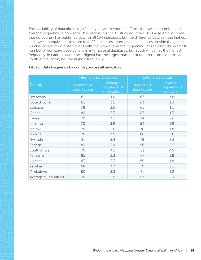<span id="page-17-0"></span>The availability of data differs significantly between countries. Table 6 shows the number and average frequency of non-zero observations for the 15 study countries. This assessment shows that no country has published data for all 104 indicators, but the difference between the highest and lowest is equivalent to more than 20 indicators. International databases provide the greatest number of non-zero observations with the highest average frequency. Tanzania has the greatest number of non-zero observations in international databases, but South Africa has the highest frequency. In national databases, Nigeria has the largest number of non-zero observations, and South Africa, again, has the highest frequency.

|                       | International databases   |                                         | National databases        |                                         |
|-----------------------|---------------------------|-----------------------------------------|---------------------------|-----------------------------------------|
| Country               | Number of<br>observations | Average<br>frequency of<br>observations | Number of<br>observations | Average<br>frequency of<br>observations |
| Botswana              | 61                        | 4.0                                     | 63                        | 1.8                                     |
| Côte d'Ivoire         | 81                        | 3.1                                     | 63                        | 1.3                                     |
| Ethiopia              | 78                        | 3.6                                     | 65                        | 1.1                                     |
| Ghana                 | 82                        | 3.3                                     | 83                        | 1.3                                     |
| Kenya                 | 70                        | 3.2                                     | 54                        | 2.6                                     |
| Lesotho               | 70                        | 3.9                                     | 54                        | 1.9                                     |
| Malawi                | 75                        | 3.6                                     | 78                        | 1.8                                     |
| Nigeria               | 76                        | 3.5                                     | 80                        | 2.0                                     |
| Rwanda                | 81                        | 3.4                                     | 78                        | 3.2                                     |
| Senegal               | 82                        | 3.9                                     | 56                        | 2.5                                     |
| South Africa          | 75                        | 4.1                                     | 61                        | 4.9                                     |
| Tanzania              | 85                        | 3.3                                     | 67                        | 1.8                                     |
| Uganda                | 83                        | 3.3                                     | 59                        | 1.8                                     |
| Zambia                | 68                        | 3.7                                     | 79                        | 2.2                                     |
| Zimbabwe              | 80                        | 3.3                                     | 71                        | 1.2                                     |
| Average all countries | 76                        | 3.5                                     | 67                        | 2.1                                     |

#### Table 6. Data frequency by country across all indicators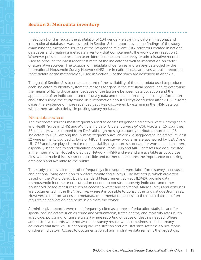## <span id="page-18-0"></span>Section 2: Microdata inventory

In Section 1 of this report, the availability of 104 gender-relevant indicators in national and international databases was covered. In Section 2, the report covers the findings of the study examining the microdata sources of the 68 gender-relevant SDG indicators located in national databases and creating a metadata inventory that complements the work done in section 1. Wherever possible, the research team identified the census, survey or administrative records used to produce the most recent estimate of the indicator as well as information on earlier or alternative sources. The location of metadata of censuses and surveys cataloged by the International Household Survey Network (IHSN) or in national data archives was also recorded. More details of the methodology used in Section 2 of the study are described in Annex 3.

The goal of Section 2 is to create a record of the availability of the microdata used to produce each indicator, to identify systematic reasons for gaps in the statistical record, and to determine the means of filling those gaps. Because of the lag time between data collection and the appearance of an indicator based on survey data and the additional lag in posting information about the survey, the study found little information about surveys conducted after 2015. In some cases, the existence of more recent surveys was discovered by examining the IHSN catalog where there are also delays in posting survey metadata.

#### Microdata sources

The microdata sources most frequently used to construct gender indicators were Demographic and Health Surveys (DHS) and Multiple Indicator Cluster Surveys (MICS). Across all 15 countries, 36 indicators were sourced from DHS, although no single country attributed more than 28 indicators to DHS. Among the 19 most frequently available sex-disaggregated indicators, at least 12 were primarily sourced to DHS or MICS. These survey programs are sponsored by USAID and UNICEF and have played a major role in establishing a core set of data for women and children, especially in the health and education domains. Most DHS and MICS datasets are documented in the International Household Survey Network (IHSN) archive and are available as public use files, which made this assessment possible and further underscores the importance of making data open and available to the public.

This study also revealed that other frequently cited sources were labor force surveys, censuses, and national living condition or welfare monitoring surveys. The last group, which are often based on the World Bank's Living Standard Measurement Surveys (LSMS), provide data on household income or consumption needed to construct poverty indicators and other household-based measures such as access to water and sanitation. Many surveys and censuses are documented in the IHSN archive, where it is possible to consult the original questionnaires. However, aside from access to metadata documentation, access to the micro datasets often requires an application and permission from the owner.

Administrative records were most frequently cited as sources of education statistics and for specialized indicators such as crime and victimization, traffic deaths, and mortality rates (such as suicide, poisoning, or unsafe water) where reporting of cause of death is needed. Where administrative records were not available, survey results were sometimes used, but many countries that lack well-functioning civil registration and vital statistics systems do not report on these indicators. Access to documentation of administrative data remains the largest gap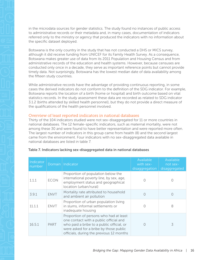<span id="page-19-0"></span>

in the microdata sources for gender statistics. The study found no instances of public access to administrative records or their metadata and, in many cases, documentation of indicators referred only to the ministry or agency that produced the indicators with no information about the specific dataset deployed.

Botswana is the only country in the study that has not conducted a DHS or MICS survey, although it did receive funding from UNICEF for its Family Health Survey. As a consequence, Botswana makes greater use of data from its 2011 Population and Housing Census and from administrative records of the education and health systems. However, because censuses are conducted only once in a decade, they serve as important reference points but cannot provide timely data. Not surprisingly, Botswana has the lowest median date of data availability among the fifteen study countries.

While administrative records have the advantage of providing continuous reporting, in some cases the derived indicators do not conform to the definition of the SDG indicator. For example, Botswana reports the location of a birth (home or hospital) and birth outcome based on vital statistics records. In the study assessment these data are recorded as related to SDG indicator 3.1.2 (births attended by skilled health personnel), but they do not provide a direct measure of the qualifications of the health personnel involved.

#### Overview of least reported indicators in national databases

Thirty of the 104 indicators studied were not sex-disaggregated for 11 or more countries in national databases. The 12 female-specific indicators, such as maternal mortality, were not among these 30 and were found to have better representation and were reported more often. The largest number of indicators in this group came from health (8) and the second largest came from the environment. Four indicators with no sex-disaggregated data available in national databases are listed in table 7.

| Indicator<br>number |             | Domain   Indicator                                                                                                                                                                                                  | Available<br>with sex-<br>disaggregation | Available<br>not sex-<br>disaggregated |
|---------------------|-------------|---------------------------------------------------------------------------------------------------------------------------------------------------------------------------------------------------------------------|------------------------------------------|----------------------------------------|
| 1.1.1               | <b>ECON</b> | Proportion of population below the<br>international poverty line, by sex, age,<br>employment status and geographical<br>location (urban/rural)                                                                      |                                          |                                        |
| 3.9.1               | <b>ENVT</b> | Mortality rate attributed to household<br>and ambient air pollution                                                                                                                                                 |                                          |                                        |
| 11.1.1              | <b>ENVT</b> | Proportion of urban population living<br>in slums, informal settlements or<br>inadequate housing                                                                                                                    | $\bigcap$                                | 8                                      |
| 16.5.1              | <b>PART</b> | Proportion of persons who had at least<br>one contact with a public official and<br>who paid a bribe to a public official, or<br>were asked for a bribe by those public<br>officials, during the previous 12 months | $\bigcap$                                | 3                                      |

#### Table 7. Indicators lacking sex-disaggregated data in national databases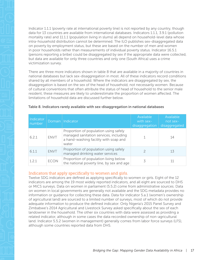<span id="page-20-0"></span>Indicator 1.1.1 (poverty rate at international poverty line) is not reported by any country, though data for 13 countries are available from international databases. Indicators 1.1.1, 3.9.1 (pollution mortality rate) and 11.1.1 (population living in slums) all depend on household-level data whose intra-household distribution cannot be determined. The ILO publishes sex-disaggregated data on poverty by employment status, but these are based on the number of men and women in poor households rather than measurements of individual poverty status. Indicator 16.5.1 (persons reporting a bribe) could be disaggregated by sex if the appropriate data were collected, but data are available for only three countries and only one (South Africa) uses a crime victimization survey.

There are three more indicators shown in table 8 that are available in a majority of countries in national databases but lack sex-disaggregation in most. All of these indicators record conditions shared by all members of a household. Where the indicators are disaggregated by sex, the disaggregation is based on the sex of the head of household, not necessarily women. Because of cultural conventions that often attribute the status of head of household to the senior male resident, these measures are likely to underestimate the proportion of women affected. The limitations of household data are discussed further below.

| Indicator<br>number |             | Domain   Indicator                                                                                                                | Available<br>with sex-<br>disaggregation | Available<br>not sex-<br>disaggregated |
|---------------------|-------------|-----------------------------------------------------------------------------------------------------------------------------------|------------------------------------------|----------------------------------------|
| 6.2.1               | <b>ENVT</b> | Proportion of population using safely<br>managed sanitation services, including<br>a hand-washing facility with soap and<br>water |                                          | 14                                     |
| 6.1.1               | <b>ENVT</b> | Proportion of population using safely<br>managed drinking water services                                                          |                                          | 13                                     |
| 1.2.1               | <b>ECON</b> | Proportion of population living below<br>the national poverty line, by sex and age                                                |                                          | 11                                     |

#### Table 8. Indicators rarely available with sex-disaggregation in national databases

#### Indicators that apply specifically to women and girls.

Twelve SDG indicators are defined as applying specifically to women or girls. Eight of the 12 indicators are among the 19 most widely reported indicators, and all eight are sourced to DHS or MICS surveys. Data on women in parliament (5.5.2) come from administrative sources. Data on women in local governments are generally not available and the SDG metadata provides no information or guidance for collecting these data. Data for indicator 5.a.1 (women's ownership of agricultural land) are sourced to a limited number of surveys, most of which do not provide adequate information to produce the defined indicator. Only Nigeria's 2015 Panel Survey and Zimbabwe's 2014 Agricultural and Livestock Survey asked specifically about the sex of each landowner in the household. The other six countries with data were assessed as providing a related indicator, although in some cases the data recorded ownership of non-agricultural land. Indicator 5.5.2 (women in management) generally comes from labor force surveys (LFS), although some countries reported data from DHS.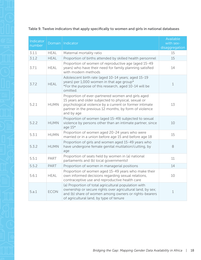#### <span id="page-21-0"></span>Table 9. Twelve indicators that apply specifically to women and girls in national databases

| Indicator<br>number |             | Domain   Indicator                                                                                                                                                                                                                         | Available<br>with sex-<br>disaggregation |
|---------------------|-------------|--------------------------------------------------------------------------------------------------------------------------------------------------------------------------------------------------------------------------------------------|------------------------------------------|
| 3.1.1               | <b>HEAL</b> | Maternal mortality ratio                                                                                                                                                                                                                   | 15                                       |
| 3.1.2               | <b>HEAL</b> | Proportion of births attended by skilled health personnel                                                                                                                                                                                  | 15                                       |
| 3.7.1               | <b>HEAL</b> | Proportion of women of reproductive age (aged 15-49<br>years) who have their need for family planning satisfied<br>with modern methods                                                                                                     | 14                                       |
| 3.7.2               | <b>HEAL</b> | Adolescent birth rate (aged 10-14 years; aged 15-19<br>years) per 1,000 women in that age group*<br>*For the purpose of this research, aged 10-14 will be<br>omitted.                                                                      | $\mathbf 1$                              |
| 5.2.1               | <b>HUMN</b> | Proportion of ever-partnered women and girls aged<br>15 years and older subjected to physical, sexual or<br>psychological violence by a current or former intimate<br>partner in the previous 12 months, by form of violence<br>and by age | 13                                       |
| 5.2.2               | <b>HUMN</b> | Proportion of women (aged 15-49) subjected to sexual<br>violence by persons other than an intimate partner, since<br>age $15*$                                                                                                             | 10                                       |
| 5.3.1               | <b>HUMN</b> | Proportion of women aged 20-24 years who were<br>married or in a union before age 15 and before age 18                                                                                                                                     | 15                                       |
| 5.3.2               | <b>HUMN</b> | Proportion of girls and women aged 15-49 years who<br>have undergone female genital mutilation/cutting, by<br>age                                                                                                                          | 8                                        |
| 5.5.1               | PART        | Proportion of seats held by women in (a) national<br>parliaments and (b) local governmentst                                                                                                                                                | 11                                       |
| 5.5.2               | <b>PART</b> | Proportion of women in managerial positions                                                                                                                                                                                                | 14                                       |
| 5.6.1               | <b>HEAL</b> | Proportion of women aged 15-49 years who make their<br>own informed decisions regarding sexual relations,<br>contraceptive use and reproductive health care                                                                                | 10                                       |
| 5.a.1               | <b>ECON</b> | (a) Proportion of total agricultural population with<br>ownership or secure rights over agricultural land, by sex;<br>and (b) share of women among owners or rights-bearers<br>of agricultural land, by type of tenure                     | $\mathbf 1$                              |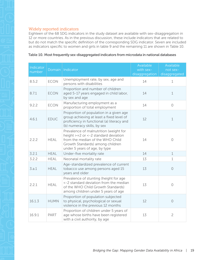#### <span id="page-22-0"></span>Widely reported indicators

Eighteen of the 68 SDG indicators in the study dataset are available with sex-disaggregation in 12 or more countries. As in the previous discussion, these include indicators that are related to but do not match the specific definition of the corresponding SDG indicator. Seven are included as indicators specific to women and girls in table 9 and the remaining 11 are shown in Table 10.

| Indicator<br>number |             | Domain   Indicator                                                                                                                                                                            | Available<br>with sex-<br>disaggregation | Available<br>not sex-<br>disaggregated |
|---------------------|-------------|-----------------------------------------------------------------------------------------------------------------------------------------------------------------------------------------------|------------------------------------------|----------------------------------------|
| 8.5.2               | <b>ECON</b> | Unemployment rate, by sex, age and<br>persons with disabilities                                                                                                                               | 14                                       | $\mathbf 1$                            |
| 8.7.1               | <b>ECON</b> | Proportion and number of children<br>aged 5-17 years engaged in child labor,<br>by sex and age                                                                                                | 14                                       | $\mathbf 1$                            |
| 9.2.2               | <b>ECON</b> | Manufacturing employment as a<br>proportion of total employment                                                                                                                               | 14                                       | $\circ$                                |
| 4.6.1               | <b>EDUC</b> | Proportion of population in a given age<br>group achieving at least a fixed level of<br>proficiency in functional (a) literacy and<br>(b) numeracy skills, by sex                             | 12                                       | $\mathbf 1$                            |
| 2.2.2               | <b>HEAL</b> | Prevalence of malnutrition (weight for<br>height $> +2$ or $< -2$ standard deviation<br>from the median of the WHO Child<br>Growth Standards) among children<br>under 5 years of age, by type | 14                                       | $\circ$                                |
| 3.2.1               | <b>HEAL</b> | Under-five mortality rate                                                                                                                                                                     | 14                                       | $\mathbf 1$                            |
| 3.2.2               | <b>HEAL</b> | Neonatal mortality rate                                                                                                                                                                       | 13                                       | $\mathbf 1$                            |
| 3.a.1               | <b>HEAL</b> | Age-standardized prevalence of current<br>tobacco use among persons aged 15<br>years and older                                                                                                | 13                                       | $\overline{0}$                         |
| 2.2.1               | <b>HEAL</b> | Prevalence of stunting (height for age<br><-2 standard deviation from the median<br>of the WHO Child Growth Standards)<br>among children under 5 years of age                                 | 13                                       | $\bigcirc$                             |
| 16.1.3              | <b>HUMN</b> | Proportion of population subjected<br>to physical, psychological or sexual<br>violence in the previous 12 months                                                                              | 12                                       | $\circ$                                |
| 16.9.1              | PART        | Proportion of children under 5 years of<br>age whose births have been registered<br>with a civil authority, by age                                                                            | 13                                       | $\overline{c}$                         |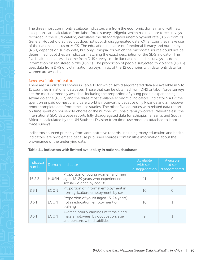<span id="page-23-0"></span>

The three most commonly available indicators are from the economic domain and, with few exceptions, are calculated from labor force surveys. Nigeria, which has no labor force surveys recorded in the IHSN catalog, calculates the disaggregated unemployment rate (8.5.2) from its General Household Survey but does not publish disaggregated data. Other countries make use of the national census or MICS. The education indicator on functional literacy and numeracy (4.6.1) depends on survey data, but only Ethiopia, for which the microdata source could not be determined, publishes an indicator matching the exact description of the SDG indicator. The five health indicators all come from DHS surveys or similar national health surveys, as does information on registered births (16.9.1). The proportion of people subjected to violence (16.1.3) uses data from DHS or victimization surveys; in six of the 12 countries with data, only data for women are available.

#### Less available indicators

There are 14 indicators shown in Table 11 for which sex-disaggregated data are available in 5 to 11 countries in national databases. Those that can be obtained from DHS or labor force surveys are the most commonly available, including the proportion of young people experiencing sexual violence (16.2.3) and the three most available economic indicators. Indicator 5.4.1 (time spent on unpaid domestic and care work) is noteworthy because only Rwanda and Zimbabwe report complete data from time-use studies. The other five countries with related data report on time spent on household chores or the number of unpaid family workers. Nevertheless, the international SDG database reports fully disaggregated data for Ethiopia, Tanzania, and South Africa, all calculated by the UN Statistics Division from time-use modules attached to labor force surveys.

Indicators sourced primarily from administrative records, including many education and health indicators, are problematic because published sources contain little information about the provenance of the underlying data.

| Indicator<br>number |             | Domain   Indicator                                                                                           | Available<br>with sex-<br>disaggregation | Available<br>not sex-<br>disaggregated |
|---------------------|-------------|--------------------------------------------------------------------------------------------------------------|------------------------------------------|----------------------------------------|
| 16.2.3              | <b>HUMN</b> | Proportion of young women and men<br>aged 18-29 years who experienced<br>sexual violence by age 18           | 11                                       |                                        |
| 8.3.1               | <b>ECON</b> | Proportion of informal employment in<br>non-agriculture employment, by sex                                   | 10                                       |                                        |
| 8.6.1               | <b>ECON</b> | Proportion of youth (aged 15-24 years)<br>not in education, employment or<br>training                        | 10                                       |                                        |
| 8.5.1               | <b>ECON</b> | Average hourly earnings of female and<br>male employees, by occupation, age<br>and persons with disabilities |                                          |                                        |

#### Table 11. Indicators with limited availability in national databases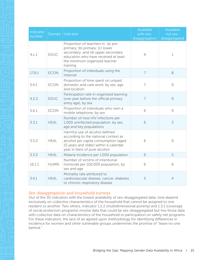<span id="page-24-0"></span>

| Indicator<br>number |             | Domain   Indicator                                                                                                                                                                                | Available<br>with sex-<br>disaggregation | Available<br>not sex-<br>disaggregated |
|---------------------|-------------|---------------------------------------------------------------------------------------------------------------------------------------------------------------------------------------------------|------------------------------------------|----------------------------------------|
| 4.c.1               | <b>EDUC</b> | Proportion of teachers in: (a) pre-<br>primary; (b) primary; (c) lower<br>secondary; and (d) upper secondary<br>education who have received at least<br>the minimum organized teacher<br>training | 9                                        | 1                                      |
| 17.8.1              | <b>ECON</b> | Proportion of individuals using the<br>Internet                                                                                                                                                   | $\overline{7}$                           | $\,8\,$                                |
| 5.4.1               | <b>ECON</b> | Proportion of time spent on unpaid<br>domestic and care work, by sex, age<br>and location                                                                                                         | $\overline{7}$                           | $\circ$                                |
| 4.2.2               | <b>EDUC</b> | Participation rate in organized learning<br>(one year before the official primary<br>entry age), by sex                                                                                           | $\overline{7}$                           | $\circ$                                |
| 5.b.1               | <b>ECON</b> | Proportion of individuals who own a<br>mobile telephone, by sex                                                                                                                                   | 6                                        | 9                                      |
| 3.3.1               | <b>HEAL</b> | Number of new HIV infections per<br>1,000 uninfected population, by sex,<br>age and key populations                                                                                               | 6                                        | 3                                      |
| 3.5.2               | <b>HEAL</b> | Harmful use of alcohol defined<br>according to the national context as<br>alcohol per capita consumption (aged<br>15 years and older) within a calendar<br>year in liters of pure alcohol         | 6                                        | $\bigcirc$                             |
| 3.3.3               | <b>HEAL</b> | Malaria incidence per 1,000 population                                                                                                                                                            | 6                                        | 5                                      |
| 16.1.1              | <b>HUMN</b> | Number of victims of intentional<br>homicide per 100,000 population, by<br>sex and age                                                                                                            | 6                                        | 6                                      |
| 3.4.1               | <b>HEAL</b> | Mortality rate attributed to<br>cardiovascular disease, cancer, diabetes<br>or chronic respiratory disease                                                                                        | 5                                        | $\overline{4}$                         |

#### Sex-disaggregation and household surveys

Out of the 30 indicators with the lowest availability of sex-disaggregated data, nine depend exclusively on collective characteristics of the household that cannot be assigned to one resident or another. Two others, indicator 1.2.2 (multidimensional poverty) and 1.3.1 (coverage of social protection programs) involve data that could be sex-disaggregated but mix those data with collective data on characteristics of the household or participation on safety net programs. For these indicators, the lack of an agreed upon methodology for identifying differences in incidence for women and other vulnerable groups undermines the promise of "leave no one behind."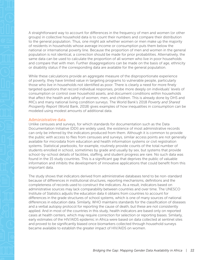<span id="page-25-0"></span>A straightforward way to account for differences in the frequency of men and women (or other groups) in collective household data is to count their numbers and compare their distribution to the general population. Thus, one might ask whether women or men make up the majority of residents in households whose average income or consumption puts them below the national or international poverty line. Because the proportion of men and women in the general population is not identical, a correction should be made for prior probabilities. Alternatively, the same data can be used to calculate the proportion of all women who live in poor households and compare that with men. Further disaggregations can be made on the basis of age, ethnicity or disability status if the corresponding data are available for the general population.

While these calculations provide an aggregate measure of the disproportionate experience of poverty, they have limited value in targeting programs to vulnerable people, particularly those who live in households not identified as poor. There is clearly a need for more finely targeted questions that record individual responses, probe more deeply on individuals' levels of consumption or control over household assets, and document conditions within households that affect the health and safety of women, men, and children. This is already done by DHS and MICs and many national living condition surveys. The World Bank's 2018 *Poverty and Shared Prosperity Report* (World Bank, 2018) gives examples of how inequalities in consumption can be modeled using modest amounts of additional data.

#### Administrative data

Unlike censuses and surveys, for which standards for documentation such as the Data Documentation Initiative (DDI) are widely used, the existence of most administrative records can only be inferred by the indicators produced from them. Although it is common to provide the public with access to files from censuses and surveys, similar access points are not generally available for microdata from education and health information systems or civil registration systems. Statistical yearbooks, for example, routinely provide counts of the total number of students enrolled in school, sometimes by grade and usually by sex, but systems that provide school-by-school details of facilities, staffing, and student progress are rare. No such data was found in the 15 study countries. This is a significant gap that deprives the public of valuable information and inhibits the development of innovative applications that could benefit from this important data.

The study shows that indicators derived from administrative databases tend to be non-standard because of differences in institutional structures, reporting mechanisms, definitions and the completeness of records used to construct the indicators. As a result, indicators based on administrative sources may lack comparability between countries and over time. The UNESCO Institute of Statistics adjusts the education data it obtains from countries to account for differences in the grade structures of school systems, which is one of many sources of national differences in education data. Similarly, WHO maintains standards for the classification of diseases and a verbal autopsy protocol for reporting the cause of death, but these are not consistently applied. And in most of the countries in this study, health indicators are based only on reported cases at health centers, which may require correction for selection or reporting biases. Similarly, early estimates of the HIV/AIDS epidemic in Africa were based on data collected at sentinel sites and proved to be significantly biased once biomarkers collected through household surveys became available to establish the greater impact of HIV/AIDS on women.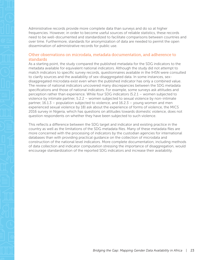<span id="page-26-0"></span>Administrative records provide more complete data than surveys and do so at higher frequencies. However, in order to become useful sources of reliable statistics, these records need to be well-documented and standardized to facilitate comparisons between countries and over time. Furthermore, standards for anonymization of data are needed to permit the open dissemination of administrative records for public use.

#### Other observations on microdata, metadata documentation, and adherence to standards

As a starting point, the study compared the published metadata for the SDG indicators to the metadata available for equivalent national indicators. Although the study did not attempt to match indicators to specific survey records, questionnaires available in the IHSN were consulted to clarify sources and the availability of sex-disaggregated data. In some instances, sexdisaggregated microdata exist even when the published indicator has only a combined value. The review of national indicators uncovered many discrepancies between the SDG metadata specifications and those of national indicators. For example, some surveys ask attitudes and perception rather than experience. While four SDG indicators (5.2.1 – women subjected to violence by intimate partner, 5.2.2 – women subjected to sexual violence by non-intimate partner, 16.1.3 – population subjected to violence, and 16.2.3 – young women and men experienced sexual violence by 18) ask about the experience of forms of violence, the MICS 2016 survey in Nigeria, which has questions on attitudes towards domestic violence, does not question respondents on whether they have been subjected to such violence.

This reflects a difference between the SDG target and indicator and existing practice in the country as well as the limitations of the SDG metadata files. Many of these metadata files are more concerned with the processing of indicators by the custodian agencies for international databases than with providing practical guidance on the collection of microdata and construction of the national level indicators. More complete documentation, including methods of data collection and indicator computation stressing the importance of disaggregation, would encourage standardization of the reported SDG indicators and increase their availability.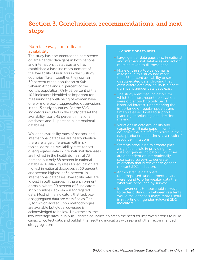## <span id="page-27-0"></span>Section 3. Conclusions, recommendations, and next steps

#### Main takeaways on indicator availability

The study has documented the persistence of large gender data gaps in both national and international databases and has established a baseline measurement of the availability of indictors in the 15 study countries. Taken together, they contain 60 percent of the population of Sub-Saharan Africa and 8.5 percent of the world's population. Only 52 percent of the 104 indicators identified as important for measuring the well-being of women have one or more sex-disaggregated observations in the 15 study countries. For the SDG indicators included in the study dataset the availability rate is 45 percent in national databases and 44 percent in international databases.

While the availability rates of national and international databases are nearly identical, there are large differences within six topical domains. Availability rates for sexdisaggregated data in international databases are highest in the health domain, at 73 percent, but only 58 percent in national database. Availability rates for education are highest in national databases at 60 percent, and second highest, at 54 percent, in international databases. Availability rates are lowest in both sources in the environment domain, where 90 percent of 8 indicators in 15 countries lack sex-disaggregated data. Most of the indicators that lack sexdisaggregated data are classified as Tier 2, for which agreed upon methodologies are available but global coverage is acknowledged to be low. Nevertheless, the

#### Conclusions in brief:

- Large gender data gaps exist in national and international databases and action must be taken to fill these gaps.
- None of the six topical domains assessed in this study had more than 73 percent availability of sexdisaggregated data, showing that even where data availability is highest, significant gender data gaps exist.
- The study identified indicators for which the most recent observations were old enough to only be of historical interest, underscoring the importance of regular updates and timely release of data to support planning, monitoring, and decision making.
- Variations in data availability and capacity to fill data gaps shows that countries make difficult choices in their data production decisions as a result of resource limitations.
- Systems producing microdata play a significant role in providing raw data for gender indicators. Countries are dependent on internationally sponsored surveys to generate microdata that is relevant to genderrelevant SDG indicators.
- **Administrative data were** underreported, undocumented, and were found to offer weaker data than what was produced by surveys.
- Improvements to household surveys to better distinguish between residents would make these surveys more useful in reporting on gender-relevant SDG indicators.

low coverage rates in 15 Sub-Saharan countries points to the need for improved efforts to build capacity, collect data, and publish the resulting indicators with sex and other recommended disaggregations.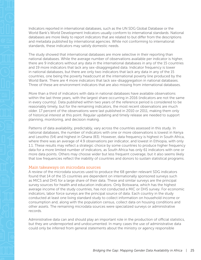<span id="page-28-0"></span>

Indicators reported in international databases, such as the UN SDG Global Database or the World Bank's World Development Indicators usually conform to international standards. National databases are more likely to report indicators that are related to but differ from the descriptions and metadata published by international agencies. While not conforming to international standards, these indicators may satisfy domestic needs.

The study showed that international databases are more selective in their reporting than national databases. While the average number of observations available per indicator is higher, there are 9 indicators without any data in the international databases in any of the 15 countries and 19 more indicators that lack any sex-disaggregated data. Indicator frequency is lower in national databases, but there are only two indicators that lack any data in any of the 15 countries, one being the poverty headcount at the international poverty line produced by the World Bank. There are 4 more indicators that lack sex-disaggregation in national databases. Three of these are environment indicators that are also missing from international databases.

More than a third of indicators with data in national databases have available observations within the last three years, with the largest share occurring in 2016 (indicators are not the same in every country). Data published within two years of the reference period is considered to be reasonably timely, but for the remaining indicators, the most recent observations are much older. 17 percent of the observations were last published in 2010 or 2011, making them only of historical interest at this point. Regular updating and timely release are needed to support planning, monitoring, and decision making.

Patterns of data availability, predictably, vary across the countries assessed in this study. In national databases, the number of indicators with one or more observations is lowest in Kenya and Lesotho (54) and highest in Ghana (83). However, data frequency is highest in South Africa, where there was an average of 4.9 observations per indicator, and lowest in Ethiopia, with only 1.1. These results may reflect a strategic choice by some countries to produce higher frequency data for a more limited number of indicators, as South Africa has only 61 indicators with one or more data points. Others may choose wider but less frequent coverage, but it also seems likely that low frequencies reflect the inability of countries and donors to sustain statistical programs.

#### Main takeaways on microdata sources

A review of the microdata sources used to produce the 68 gender-relevant SDG indicators found that 14 of the 15 countries are dependent on internationally sponsored surveys such as MICS and DHS for a large share of their data. These and similar surveys are the principal survey sources for health and education indicators. Only Botswana, which has the highest average income of the study countries, has not conducted a MIC or DHS survey. For economic indicators, labor force surveys are the principal source of data. Each country in the study conducted at least one living standard study to collect information on household income or consumption and, along with the population census, collect data on housing conditions and other assets. The remaining microdata sources were specialized surveys or administrative records.

Administrative data can and should play an important role in the production of official statistics, but they are underreported and undocumented. In many cases the use of administrative data could only be inferred from general statements about the ministry or agency responsible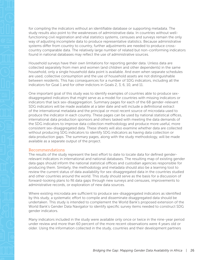<span id="page-29-0"></span>for compiling the indicators without an identifiable database or supporting metadata. The study results also point to the weaknesses of administrative data. In countries without wellfunctioning civil registration and vital statistics systems, censuses and surveys remain the only way of adjusting incomplete data to produce representative statistics. Because administrative systems differ from country to country, further adjustments are needed to produce crosscountry comparable data. The relatively large number of related but non-conforming indicators found in national databases may reflect the use of administrative sources.

Household surveys have their own limitations for reporting gender data. Unless data are collected separately from men and women (and children and other dependents) in the same household, only a single household data point is available. And even when separate schedules are used, collective consumption and the use of household assets are not distinguishable between residents. This has consequences for a number of SDG indicators, including all the indicators for Goal 1 and for other indictors in Goals 2, 3, 6, 10, and 11.

One important goal of this study was to identify examples of countries able to produce sexdisaggregated indicators that might serve as a model for countries with missing indicators or indicators that lack sex-disaggregation. Summary pages for each of the 68 gender-relevant SDG indicators will be made available at a later date and will include a definitional extract of the international metadata and the principal or most recent source of microdata used to produce the indicator in each country. These pages can be used by national statistical offices, international data production sponsors and others tasked with meeting the data demands of the SDG indicators to improve data collection methodology and produce more useful, more consistent sex-disaggregated data. These sheets will also examine whether data are collected without producing SDG indicators to identify SDG indicators as having data collection or data production gaps. The summary pages, along with the study methodology, will be made available as a separate output of the project.

#### Recommendations

The results of the study represent the best effort to date to locate data for defined genderrelevant indicators in international and national databases. The resulting map of existing gender data gaps should inform the national statistical offices and custodian agencies responsible for producing them. Similarly, the methodology and metadata should also be a learning tool to review the current status of data availability for sex-disaggregated data in the countries studied and other countries around the world. This study should serve as the basis for a discussion of forward-looking plans to fill data gaps through new surveys and censuses, improvements to administrative records, or exploration of new data sources.

Where existing microdata are sufficient to produce sex-disaggregated indicators as identified by this study, a systematic effort to compile and disseminate disaggregated data should be undertaken. This study is intended to complement the World Bank's proposed extension of the World Bank's Gender Data Navigator to identify specific survey items needed to construct SDG gender indicators.

Many indicators included in the study were available only once or twice in the nine-year period under review and more than 60 percent of the more recent observations were 4 years old or older. Using the information collected in the study, countries and their development partners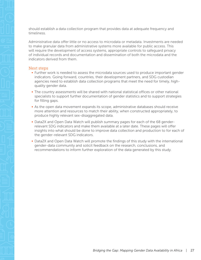<span id="page-30-0"></span>should establish a data collection program that provides data at adequate frequency and timeliness.

Administrative data offer little or no access to microdata or metadata. Investments are needed to make granular data from administrative systems more available for public access. This will require the development of access systems, appropriate controls to safeguard privacy of individual records and documentation and dissemination of both the microdata and the indicators derived from them.

#### Next steps

- Further work is needed to assess the microdata sources used to produce important gender indicators. Going forward, countries, their development partners, and SDG custodian agencies need to establish data collection programs that meet the need for timely, highquality gender data.
- The country assessments will be shared with national statistical offices or other national specialists to support further documentation of gender statistics and to support strategies for filling gaps.
- As the open data movement expands its scope, administrative databases should receive more attention and resources to match their ability, when constructed appropriately, to produce highly relevant sex-disaggregated data.
- § Data2X and Open Data Watch will publish summary pages for each of the 68 genderrelevant SDG indicators and make them available at a later date. These pages will offer insights into what should be done to improve data collection and production to for each of the gender-relevant SDG indicators.
- Data2X and Open Data Watch will promote the findings of this study with the international gender-data community and solicit feedback on the research, conclusions, and recommendations to inform further exploration of the data generated by this study.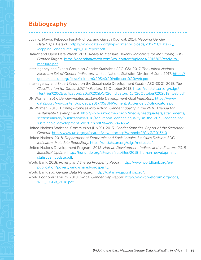## <span id="page-31-0"></span>Bibliography

Buvinic, Mayra, Rebecca Furst-Nichols, and Gayatri Koolwal. 2014. *Mapping Gender Data Gaps*. Data2X. [https://www.data2x.org/wp-content/uploads/2017/11/Data2X\\_](https://www.data2x.org/wp-content/uploads/2017/11/Data2X_MappingGenderDataGaps_FullReport.pdf) [MappingGenderDataGaps\\_FullReport.pdf.](https://www.data2x.org/wp-content/uploads/2017/11/Data2X_MappingGenderDataGaps_FullReport.pdf)

- Data2x and Open Data Watch. 2016. *Ready to Measure: Twenty Indicators for Monitoring SDG Gender Targets*. [https://opendatawatch.com/wp-content/uploads/2016/03/ready-to](https://opendatawatch.com/wp-content/uploads/2016/03/ready-to-measure.pdf)[measure.pdf.](https://opendatawatch.com/wp-content/uploads/2016/03/ready-to-measure.pdf)
- Inter-agency and Expert Group on Gender Statistics (IAEG-GS). 2017. *The United Nations Minimum Set of Gender Indicators.* United Nations Statistics Division, 6 June 2017. [https://](https://genderstats.un.org/files/Minimum%20Set%20indicators%20web.pdf) [genderstats.un.org/files/Minimum%20Set%20indicators%20web.pdf.](https://genderstats.un.org/files/Minimum%20Set%20indicators%20web.pdf)
- Inter-agency and Expert Group on the Sustainable Development Goals (IAEG-SDG). 2018. *Tier Classification for Global SDG Indicators.* 15 October 2018. [https://unstats.un.org/sdgs/](https://unstats.un.org/sdgs/files/Tier%20Classification%20of%20SDG%20Indicators_15%20October%202018_web.pdf) [files/Tier%20Classification%20of%20SDG%20Indicators\\_15%20October%202018\\_web.pdf](https://unstats.un.org/sdgs/files/Tier%20Classification%20of%20SDG%20Indicators_15%20October%202018_web.pdf).
- UN Women. 2017. *Gender-related Sustainable Development Goal Indicators.* [https://www.](https://www.data2x.org/wp-content/uploads/2017/05/UNWomenList_GenderSDGIndicators.pdf) [data2x.org/wp-content/uploads/2017/05/UNWomenList\\_GenderSDGIndicators.pdf](https://www.data2x.org/wp-content/uploads/2017/05/UNWomenList_GenderSDGIndicators.pdf).
- UN Women. 2018. T*urning Promises Into Action: Gender Equality in the 2030 Agenda for Sustainable Development.* [http://www.unwomen.org/-/media/headquarters/attachments/](http://www.unwomen.org/-/media/headquarters/attachments/sections/library/publications/2018/sdg-report-gender-equality-in-the-2030-agenda-for-sustainable-development-2018-en.pdf?la=en&vs=4332) [sections/library/publications/2018/sdg-report-gender-equality-in-the-2030-agenda-for](http://www.unwomen.org/-/media/headquarters/attachments/sections/library/publications/2018/sdg-report-gender-equality-in-the-2030-agenda-for-sustainable-development-2018-en.pdf?la=en&vs=4332)[sustainable-development-2018-en.pdf?la=en&vs=4332.](http://www.unwomen.org/-/media/headquarters/attachments/sections/library/publications/2018/sdg-report-gender-equality-in-the-2030-agenda-for-sustainable-development-2018-en.pdf?la=en&vs=4332)
- United Nations Statistical Commission (UNSC). 2013. *Gender Statistics: Report of the Secretary General.* [http://www.un.org/ga/search/view\\_doc.asp?symbol=E/CN.3/2013/10.](http://www.un.org/ga/search/view_doc.asp?symbol=E/CN.3/2013/10)
- United Nations. 2018. *Department of Economic and Social Affairs. Statistics Division. SDG Indicators Metadata Repository.* [https://unstats.un.org/sdgs/metadata/.](https://unstats.un.org/sdgs/metadata/)
- United Nations Development Program. 2018. *Human Development Indices and Indicators: 2018 Statistical Update.* [http://hdr.undp.org/sites/default/files/2018\\_human\\_development\\_](http://hdr.undp.org/sites/default/files/2018_human_development_statistical_update.pdf) [statistical\\_update.pdf.](http://hdr.undp.org/sites/default/files/2018_human_development_statistical_update.pdf)

World Bank. 2018. *Poverty and Shared Prosperity Report.* [http://www.worldbank.org/en/](http://www.worldbank.org/en/publication/poverty-and-shared-prosperity) [publication/poverty-and-shared-prosperity.](http://www.worldbank.org/en/publication/poverty-and-shared-prosperity)

World Bank. n.d. *Gender Data Navigator.* [http://datanavigator.ihsn.org/.](http://datanavigator.ihsn.org/)

World Economic Forum. 2018. *Global Gender Gap Report.* [http://www3.weforum.org/docs/](http://www3.weforum.org/docs/WEF_GGGR_2018.pdf) [WEF\\_GGGR\\_2018.pdf](http://www3.weforum.org/docs/WEF_GGGR_2018.pdf).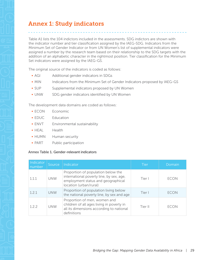## <span id="page-32-0"></span>Annex 1: Study indicators

Table A1 lists the 104 indictors included in the assessments. SDG indictors are shown with the indicator number and tier classification assigned by the IAEG-SDG. Indicators from the Minimum Set of Gender Indicator or from UN Women's list of supplemental indicators were assigned a number by the research team based on their relationship to the SDG targets with the addition of an alphabetic character in the rightmost position. Tier classification for the Minimum Set indicators were assigned by the IAEG-GS.

The original source of the indicators is coded as follows:

- § AGI Additional gender indicators in SDGs
- MIN Indicators from the Minimum Set of Gender Indicators proposed by IAEG-GS
- SUP Supplemental indicators proposed by UN Women
- UNW SDG gender indicators identified by UN Women

The development data domains are coded as follows:

- § ECON Economic
- § EDUC Education
- **ENVT** Environmental sustainability
- § HEAL Health
- HUMN Human security
- PART Public participation

#### Annex Table 1. Gender-relevant indicators

| Indicator<br>number | Source     | Indicator                                                                                                                                      | Tier    | Domain      |
|---------------------|------------|------------------------------------------------------------------------------------------------------------------------------------------------|---------|-------------|
| 1.1.1               | <b>UNW</b> | Proportion of population below the<br>international poverty line, by sex, age,<br>employment status and geographical<br>location (urban/rural) | Tier I  | <b>ECON</b> |
| 121                 | <b>UNW</b> | Proportion of population living below<br>the national poverty line, by sex and age                                                             | Tier I  | <b>FCON</b> |
| 122                 | <b>UNW</b> | Proportion of men, women and<br>children of all ages living in poverty in<br>all its dimensions according to national<br>definitions           | Tier II | <b>FCON</b> |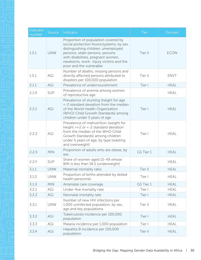| Indicator<br>number | Source     | Indicator                                                                                                                                                                                                                                                             | <b>Tier</b> | Domain      |
|---------------------|------------|-----------------------------------------------------------------------------------------------------------------------------------------------------------------------------------------------------------------------------------------------------------------------|-------------|-------------|
| 1.3.1               | <b>UNW</b> | Proportion of population covered by<br>social protection floors/systems, by sex,<br>distinguishing children, unemployed<br>persons, older persons, persons<br>with disabilities, pregnant women,<br>newborns, work- injury victims and the<br>poor and the vulnerable | Tier II     | <b>ECON</b> |
| 1.5.1               | AGI        | Number of deaths, missing persons and<br>directly affected persons attributed to<br>disasters per 100,000 population                                                                                                                                                  | Tier II     | <b>ENVT</b> |
| 2.1.1               | AGI        | Prevalence of undernourishment                                                                                                                                                                                                                                        | Tier I      | <b>HEAL</b> |
| 2.1.X               | <b>SUP</b> | Prevalence of anemia among women<br>of reproductive age                                                                                                                                                                                                               |             | <b>HEAL</b> |
| 2.2.1               | AGI        | Prevalence of stunting (height for age<br><-2 standard deviation from the median<br>of the World Health Organization<br>(WHO) Child Growth Standards) among<br>children under 5 years of age                                                                          | Tier I      | <b>HEAL</b> |
| 2.2.2               | AGI        | Prevalence of malnutrition (weight for<br>height $> +2$ or $< -2$ standard deviation<br>from the median of the WHO Child<br>Growth Standards) among children<br>under 5 years of age, by type (wasting<br>and overweight)                                             | Tier I      | <b>HEAL</b> |
| 2.2.X               | <b>MIN</b> | Proportion of adults who are obese, by<br>sex                                                                                                                                                                                                                         | GS Tier 1   | <b>HEAL</b> |
| 2.2.Y               | <b>SUP</b> | Share of women aged 15-49 whose<br>BMI is less than 18.5 (underweight)                                                                                                                                                                                                |             | <b>HEAL</b> |
| 3.1.1               | <b>UNW</b> | Maternal mortality ratio                                                                                                                                                                                                                                              | Tier II     | <b>HEAL</b> |
| 3.1.2               | <b>UNW</b> | Proportion of births attended by skilled<br>health personnel                                                                                                                                                                                                          | Tier I      | <b>HEAL</b> |
| 3.1.X               | <b>MIN</b> | Antenatal care coverage                                                                                                                                                                                                                                               | GS Tier 1   | <b>HEAL</b> |
| 3.2.1               | AGI        | Under-five mortality rate                                                                                                                                                                                                                                             | Tier I      | <b>HEAL</b> |
| 3.2.2               | AGI        | Neonatal mortality rate                                                                                                                                                                                                                                               | Tier I      | <b>HEAL</b> |
| 3.3.1               | <b>UNW</b> | Number of new HIV infections per<br>1,000 uninfected population, by sex,<br>age and key populations                                                                                                                                                                   | Tier II     | <b>HEAL</b> |
| 3.3.2               | AGI        | Tuberculosis incidence per 100,000<br>population                                                                                                                                                                                                                      | Tier I      | <b>HEAL</b> |
| 3.3.3               | AGI        | Malaria incidence per 1,000 population                                                                                                                                                                                                                                | Tier I      | <b>HEAL</b> |
| 3.3.4               | AGI        | Hepatitis B incidence per 100,000<br>population                                                                                                                                                                                                                       | Tier II     | <b>HEAL</b> |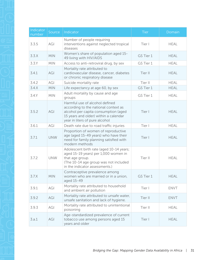| Indicator<br>number | Source     | Indicator                                                                                                                                                                                 | <b>Tier</b> | Domain      |
|---------------------|------------|-------------------------------------------------------------------------------------------------------------------------------------------------------------------------------------------|-------------|-------------|
| 3.3.5               | AGI        | Number of people requiring<br>interventions against neglected tropical<br>diseases                                                                                                        | Tier I      | <b>HEAL</b> |
| 3.3.X               | <b>MIN</b> | Women's share of population aged 15-<br>49 living with HIV/AIDS                                                                                                                           | GS Tier 1   | <b>HEAL</b> |
| 3.3Y                | <b>MIN</b> | Access to anti-retroviral drug, by sex                                                                                                                                                    | GS Tier 1   | <b>HEAL</b> |
| 3.4.1               | AGI        | Mortality rate attributed to<br>cardiovascular disease, cancer, diabetes<br>or chronic respiratory disease                                                                                | Tier II     | <b>HEAL</b> |
| 3.4.2               | AGI        | Suicide mortality rate                                                                                                                                                                    | Tier II     | <b>HEAL</b> |
| 3.4.X               | <b>MIN</b> | Life expectancy at age 60, by sex                                                                                                                                                         | GS Tier 1   | <b>HEAL</b> |
| 3.4.Y               | <b>MIN</b> | Adult mortality by cause and age<br>groups                                                                                                                                                | GS Tier 1   | <b>HEAL</b> |
| 3.5.2               | AGI        | Harmful use of alcohol defined<br>according to the national context as<br>alcohol per capita consumption (aged<br>15 years and older) within a calendar<br>year in liters of pure alcohol | Tier I      | <b>HEAL</b> |
| 3.6.1               | AGI        | Death rate due to road traffic injuries                                                                                                                                                   | Tier I      | <b>HEAL</b> |
| 3.7.1               | <b>UNW</b> | Proportion of women of reproductive<br>age (aged 15-49 years) who have their<br>need for family planning satisfied with<br>modern methods                                                 | Tier I      | <b>HEAL</b> |
| 3.7.2               | <b>UNW</b> | Adolescent birth rate (aged 10-14 years;<br>aged 15-19 years) per 1,000 women in<br>that age group.<br>(The 10-14 age group was not included<br>in the indicator assessments.)            | Tier II     | <b>HEAL</b> |
| 3.7.X               | <b>MIN</b> | Contraceptive prevalence among<br>women who are married or in a union,<br>aged 15-49                                                                                                      | GS Tier 1   | <b>HEAL</b> |
| 3.9.1               | AGI        | Mortality rate attributed to household<br>and ambient air pollution                                                                                                                       | Tier I      | <b>ENVT</b> |
| 3.9.2               | AGI        | Mortality rate attributed to unsafe water,<br>unsafe sanitation and lack of hygiene.                                                                                                      | Tier II     | <b>ENVT</b> |
| 3.9.3               | AGI        | Mortality rate attributed to unintentional<br>poisoning                                                                                                                                   | Tier II     | <b>HEAL</b> |
| 3.a.1               | AGI        | Age-standardized prevalence of current<br>tobacco use among persons aged 15<br>years and older                                                                                            | Tier I      | <b>HEAL</b> |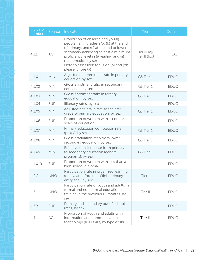| Indicator<br>number | Source     | Indicator                                                                                                                                                                                                                                                                                                | Tier                            | Domain      |
|---------------------|------------|----------------------------------------------------------------------------------------------------------------------------------------------------------------------------------------------------------------------------------------------------------------------------------------------------------|---------------------------------|-------------|
| 4.1.1               | AGI        | Proportion of children and young<br>people: (a) in grades 2/3; (b) at the end<br>of primary; and (c) at the end of lower<br>secondary achieving at least a minimum<br>proficiency level in (i) reading and (ii)<br>mathematics, by sex.<br>Note to assessors: focus on (b) and (c);<br>please ignore (a) | Tier III $(a)$<br>Tier II (b,c) | <b>HEAL</b> |
| $4.1\times1$        | <b>MIN</b> | Adjusted net enrolment rate in primary<br>education by sex                                                                                                                                                                                                                                               | GS Tier 1                       | <b>EDUC</b> |
| $4.1\times2$        | <b>MIN</b> | Gross enrolment ratio in secondary<br>education, by sex                                                                                                                                                                                                                                                  | GS Tier 1                       | <b>EDUC</b> |
| $4.1\times3$        | <b>MIN</b> | Gross enrolment ratio in tertiary<br>education, by sex                                                                                                                                                                                                                                                   | GS Tier 1                       | <b>EDUC</b> |
| 4.1. X4             | SUP        | Illiteracy rates, by sex                                                                                                                                                                                                                                                                                 |                                 | <b>EDUC</b> |
| $4.1\times5$        | <b>MIN</b> | Adjusted net intake rate to the first<br>grade of primary education, by sex                                                                                                                                                                                                                              | GS Tier 1                       | <b>EDUC</b> |
| $4.1\times 6$       | SUP        | Proportion of women with six or less<br>years of education                                                                                                                                                                                                                                               |                                 | <b>EDUC</b> |
| 4.1. X7             | <b>MIN</b> | Primary education completion rate<br>(proxy), by sex                                                                                                                                                                                                                                                     | GS Tier 1                       | <b>EDUC</b> |
| 4.1.X8              | <b>MIN</b> | Gross graduation ratio from lower<br>secondary education, by sex                                                                                                                                                                                                                                         | GS Tier 1                       | <b>EDUC</b> |
| 4.1.X9              | <b>MIN</b> | Effective transition rate from primary<br>to secondary education (general<br>programs), by sex                                                                                                                                                                                                           | GS Tier 1                       | <b>EDUC</b> |
| 4.1.X10             | <b>SUP</b> | Proportion of women with less than a<br>high school diploma                                                                                                                                                                                                                                              |                                 | <b>EDUC</b> |
| 4.2.2               | <b>UNW</b> | Participation rate in organized learning<br>(one year before the official primary<br>entry age), by sex                                                                                                                                                                                                  | Tier I                          | <b>EDUC</b> |
| 4.3.1               | <b>UNW</b> | Participation rate of youth and adults in<br>formal and non-formal education and<br>training in the previous 12 months, by<br>sex                                                                                                                                                                        | Tier II                         | <b>EDUC</b> |
| 4.3.X               | <b>SUP</b> | Primary and secondary out of school<br>rates, by sex                                                                                                                                                                                                                                                     |                                 | <b>EDUC</b> |
| 4.4.1               | AGI        | Proportion of youth and adults with<br>information and communications<br>technology (ICT) skills, by type of skill                                                                                                                                                                                       | Tier II                         | <b>EDUC</b> |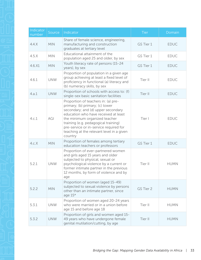| Indicator<br>number | Source     | Indicator                                                                                                                                                                                                                                                                                                                       | <b>Tier</b> | Domain      |
|---------------------|------------|---------------------------------------------------------------------------------------------------------------------------------------------------------------------------------------------------------------------------------------------------------------------------------------------------------------------------------|-------------|-------------|
| 4.4.X               | <b>MIN</b> | Share of female science, engineering,<br>manufacturing and construction<br>graduates at tertiary level                                                                                                                                                                                                                          | GS Tier 1   | <b>EDUC</b> |
| 4.5.X               | <b>MIN</b> | Educational attainment of the<br>population aged 25 and older, by sex                                                                                                                                                                                                                                                           | GS Tier 1   | <b>EDUC</b> |
| 4.6.X1              | <b>MIN</b> | Youth literacy rate of persons (15-24<br>years), by sex                                                                                                                                                                                                                                                                         | GS Tier 1   | <b>EDUC</b> |
| 4.6.1               | <b>UNW</b> | Proportion of population in a given age<br>group achieving at least a fixed level of<br>proficiency in functional (a) literacy and<br>(b) numeracy skills, by sex                                                                                                                                                               | Tier II     | <b>EDUC</b> |
| 4.a.1               | <b>UNW</b> | Proportion of schools with access to: (f)<br>single-sex basic sanitation facilities                                                                                                                                                                                                                                             | Tier II     | <b>EDUC</b> |
| 4.c.1               | AGI        | Proportion of teachers in: (a) pre-<br>primary; (b) primary; (c) lower<br>secondary; and (d) upper secondary<br>education who have received at least<br>the minimum organized teacher<br>training (e.g. pedagogical training)<br>pre-service or in-service required for<br>teaching at the relevant level in a given<br>country | Tier I      | <b>EDUC</b> |
| 4.c.X               | <b>MIN</b> | Proportion of females among tertiary<br>education teachers or professors                                                                                                                                                                                                                                                        | GS Tier 1   | <b>EDUC</b> |
| 5.2.1               | <b>UNW</b> | Proportion of ever-partnered women<br>and girls aged 15 years and older<br>subjected to physical, sexual or<br>psychological violence by a current or<br>former intimate partner in the previous<br>12 months, by form of violence and by<br>age                                                                                | Tier II     | <b>HUMN</b> |
| 5.2.2               | <b>MIN</b> | Proportion of women (aged 15-49)<br>subjected to sexual violence by persons<br>other than an intimate partner, since<br>age $15*$                                                                                                                                                                                               | GS Tier 2   | <b>HUMN</b> |
| 5.3.1               | <b>UNW</b> | Proportion of women aged 20-24 years<br>who were married or in a union before<br>age 15 and before age 18                                                                                                                                                                                                                       | Tier II     | <b>HUMN</b> |
| 5.3.2               | <b>UNW</b> | Proportion of girls and women aged 15-<br>49 years who have undergone female<br>genital mutilation/cutting, by age                                                                                                                                                                                                              | Tier II     | <b>HUMN</b> |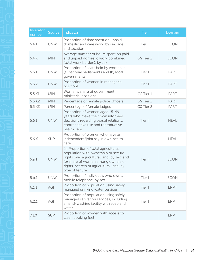| Indicator<br>number | Source     | Indicator                                                                                                                                                                                                                    | <b>Tier</b> | Domain      |
|---------------------|------------|------------------------------------------------------------------------------------------------------------------------------------------------------------------------------------------------------------------------------|-------------|-------------|
| 5.4.1               | <b>UNW</b> | Proportion of time spent on unpaid<br>domestic and care work, by sex, age<br>and location                                                                                                                                    | Tier II     | <b>ECON</b> |
| 5.4.X               | <b>MIN</b> | Average number of hours spent on paid<br>and unpaid domestic work combined<br>(total work burden), by sex                                                                                                                    | GS Tier 2   | <b>ECON</b> |
| 5.5.1               | <b>UNW</b> | Proportion of seats held by women in<br>(a) national parliaments and (b) local<br>governmentst                                                                                                                               | Tier I      | PART        |
| 5.5.2               | <b>UNW</b> | Proportion of women in managerial<br>positions                                                                                                                                                                               | Tier I      | PART        |
| 5.5.X1              | <b>MIN</b> | Women's share of government<br>ministerial positions                                                                                                                                                                         | GS Tier 1   | PART        |
| 5.5. X2             | <b>MIN</b> | Percentage of female police officers                                                                                                                                                                                         | GS Tier 2   | <b>PART</b> |
| 5.5.X3              | <b>MIN</b> | Percentage of female judges                                                                                                                                                                                                  | GS Tier 2   | PART        |
| 5.6.1               | <b>UNW</b> | Proportion of women aged 15-49<br>years who make their own informed<br>decisions regarding sexual relations,<br>contraceptive use and reproductive<br>health care                                                            | Tier II     | <b>HEAL</b> |
| 5.6.X               | SUP        | Proportion of women who have an<br>independent/joint say in own health<br>care                                                                                                                                               |             | <b>HEAL</b> |
| 5.a.1               | <b>UNW</b> | (a) Proportion of total agricultural<br>population with ownership or secure<br>rights over agricultural land, by sex; and<br>(b) share of women among owners or<br>rights-bearers of agricultural land, by<br>type of tenure | Tier II     | <b>ECON</b> |
| 5.b.1               | <b>UNW</b> | Proportion of individuals who own a<br>mobile telephone, by sex                                                                                                                                                              | Tier I      | <b>ECON</b> |
| 6.1.1               | AGI        | Proportion of population using safely<br>managed drinking water services                                                                                                                                                     | Tier I      | <b>ENVT</b> |
| 6.2.1               | AGI        | Proportion of population using safely<br>managed sanitation services, including<br>a hand-washing facility with soap and<br>water                                                                                            | Tier I      | <b>ENVT</b> |
| 7.1.X               | <b>SUP</b> | Proportion of women with access to<br>clean cooking fuel                                                                                                                                                                     |             | <b>ENVT</b> |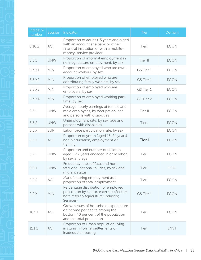| Indicator<br>number | Source     | Indicator                                                                                                                                            | <b>Tier</b> | Domain      |
|---------------------|------------|------------------------------------------------------------------------------------------------------------------------------------------------------|-------------|-------------|
| 8.10.2              | AGI        | Proportion of adults (15 years and older)<br>with an account at a bank or other<br>financial institution or with a mobile-<br>money-service provider | Tier I      | <b>ECON</b> |
| 8.3.1               | <b>UNW</b> | Proportion of informal employment in<br>non-agriculture employment, by sex                                                                           | Tier II     | <b>ECON</b> |
| 8.3.X1              | <b>MIN</b> | Proportion of employed who are own-<br>account workers, by sex                                                                                       | GS Tier 1   | <b>ECON</b> |
| 8.3.X2              | <b>MIN</b> | Proportion of employed who are<br>contributing family workers, by sex                                                                                | GS Tier 1   | <b>ECON</b> |
| 8.3.X3              | <b>MIN</b> | Proportion of employed who are<br>employers, by sex                                                                                                  | GS Tier 1   | <b>ECON</b> |
| 8.3.X4              | <b>MIN</b> | Proportion of employed working part-<br>time, by sex                                                                                                 | GS Tier 2   | <b>ECON</b> |
| 8.5.1               | <b>UNW</b> | Average hourly earnings of female and<br>male employees, by occupation, age<br>and persons with disabilities                                         | Tier II     | <b>ECON</b> |
| 8.5.2               | <b>UNW</b> | Unemployment rate, by sex, age and<br>persons with disabilities                                                                                      | Tier I      | <b>ECON</b> |
| 8.5.X               | <b>SUP</b> | Labor force participation rate, by sex                                                                                                               |             | <b>ECON</b> |
| 8.6.1               | AGI        | Proportion of youth (aged 15-24 years)<br>not in education, employment or<br>training                                                                | Tier I      | <b>ECON</b> |
| 8.7.1               | <b>UNW</b> | Proportion and number of children<br>aged 5-17 years engaged in child labor,<br>by sex and age                                                       | Tier I      | <b>ECON</b> |
| 8.8.1               | <b>UNW</b> | Frequency rates of fatal and non-<br>fatal occupational injuries, by sex and<br>migrant status                                                       | Tier I      | <b>HEAL</b> |
| 9.2.2               | AGI        | Manufacturing employment as a<br>proportion of total employment                                                                                      | Tier I      | <b>ECON</b> |
| 9.2.X               | <b>MIN</b> | Percentage distribution of employed<br>population by sector, each sex (Sectors<br>here refer to Agriculture; Industry;<br>Services)                  | GS Tier 1   | <b>ECON</b> |
| 10.1.1              | AGI        | Growth rates of household expenditure<br>or income per capita among the<br>bottom 40 per cent of the population<br>and the total population          | Tier I      | <b>ECON</b> |
| 11.1.1              | AGI        | Proportion of urban population living<br>in slums, informal settlements or<br>inadequate housing                                                     | Tier I      | <b>ENVT</b> |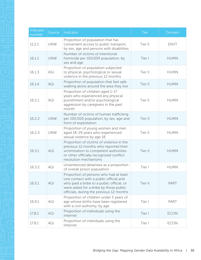| Indicator<br>number | Source     | Indicator                                                                                                                                                                                                           | Tier    | Domain      |
|---------------------|------------|---------------------------------------------------------------------------------------------------------------------------------------------------------------------------------------------------------------------|---------|-------------|
| 11.2.1              | <b>UNW</b> | Proportion of population that has<br>convenient access to public transport,<br>by sex, age and persons with disabilities                                                                                            | Tier II | <b>ENVT</b> |
| 16.1.1              | <b>UNW</b> | Number of victims of intentional<br>homicide per 100,000 population, by<br>sex and age                                                                                                                              | Tier I  | <b>HUMN</b> |
| 16.1.3              | AGI        | Proportion of population subjected<br>to physical, psychological or sexual<br>violence in the previous 12 months                                                                                                    | Tier II | <b>HUMN</b> |
| 16.1.4              | AGI        | Proportion of population that feel safe<br>walking alone around the area they live                                                                                                                                  | Tier II | <b>HUMN</b> |
| 16.2.1              | AGI        | Proportion of children aged 1-17<br>years who experienced any physical<br>punishment and/or psychological<br>aggression by caregivers in the past<br>month                                                          | Tier II | <b>HUMN</b> |
| 16.2.2              | <b>UNW</b> | Number of victims of human trafficking<br>per 100,000 population, by sex, age and<br>form of exploitation                                                                                                           | Tier II | <b>HUMN</b> |
| 16.2.3              | <b>UNW</b> | Proportion of young women and men<br>aged 18-29 years who experienced<br>sexual violence by age 18                                                                                                                  | Tier II | <b>HUMN</b> |
| 16.3.1              | AGI        | Proportion of victims of violence in the<br>previous 12 months who reported their<br>victimization to competent authorities<br>or other officially recognized conflict<br>resolution mechanisms                     | Tier II | <b>HUMN</b> |
| 16.3.2              | AGI        | Unsentenced detainees as a proportion<br>of overall prison population                                                                                                                                               | Tier I  | <b>HUMN</b> |
| 16.5.1              | AGI        | Proportion of persons who had at least<br>one contact with a public official and<br>who paid a bribe to a public official, or<br>were asked for a bribe by those public<br>officials, during the previous 12 months | Tier II | <b>PART</b> |
| 16.9.1              | AGI        | Proportion of children under 5 years of<br>age whose births have been registered<br>with a civil authority, by age                                                                                                  | Tier I  | PART        |
| 17.8.1              | AGI        | Proportion of individuals using the<br>Internet                                                                                                                                                                     | Tier I  | <b>ECON</b> |
| 17.8.1              | AGI        | Proportion of individuals using the<br>Internet                                                                                                                                                                     | Tier I  | <b>ECON</b> |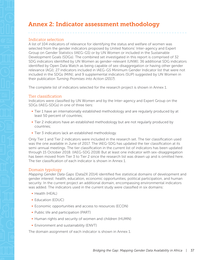## <span id="page-40-0"></span>Annex 2: Indicator assessment methodology

#### Indicator selection

A list of 104 indicators of relevance for identifying the status and welfare of women was selected from the gender indicators proposed by United Nations' Inter-agency and Expert Group on Gender Statistics (IAEG-GS) or by UN Women or included in the Sustainable Development Goals (SDGs). The combined set investigated in this report is comprised of 32 SDG indicators identified by UN Women as gender-relevant (UNW); 36 additional SDG indicators identified by Open Data Watch as being capable of sex-disaggregation or having other gender relevance (AGI); 27 indicators included in IAEG-GS Minimum Gender Indicator list that were not included in the SDGs (MIN); and 9 supplemental indicators (SUP) suggested by UN Women in their publication *Turning Promises into Action (2017)*.

The complete list of indicators selected for the research project is shown in Annex 1.

#### Tier classification

Indicators were classified by UN Women and by the Inter-agency and Expert Group on the SDGs (IAEG-SDGs) in one of three tiers:

- Tier 1 have an internationally established methodology and are regularly produced by at least 50 percent of countries;
- Tier 2 indicators have an established methodology but are not regularly produced by countries;
- Tier 3 indicators lack an established methodology.

Only Tier 1 and Tier 2 indicators were included in the research set. The tier classification used was the one available in June of 2017. The IAEG-SDG has updated the tier classification at its semi-annual meetings. The tier classification in the current list of indicators has been updated through 15 October 2018. (IAEG-SDG 2018) But at least one indicator with sex-disaggregation has been moved from Tier 3 to Tier 2 since the research list was drawn up and is omitted here. The tier classification of each indicator is shown in Annex 1.

#### Domain typology

*Mapping Gender Data Gaps* (Data2X 2014) identified five statistical domains of development and gender interest: health, education, economic opportunities, political participation, and human security. In the current project an additional domain, encompassing environmental indicators was added. The indicators used in the current study were classified in six domains:

- Health (HEAL)
- § Education (EDUC)
- Economic opportunities and access to resources (ECON)
- Public life and participation (PART)
- Human rights and security of women and children (HUMN)
- **Environment and sustainability (ENVT)**

The domain assignment of each indicator is shown in Annex 1.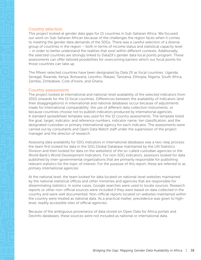#### <span id="page-41-0"></span>Country selection

This project looked at gender data gaps for 15 countries in Sub-Saharan Africa. We focused our work on Sub-Saharan African because of the challenges the region faces when it comes to meeting the gender data demands of the SDGs. There was a careful selection of a diverse group of countries in the region – both in terms of income status and statistical capacity level – in order to better understand the realities that exist within different contexts. Additionally, the selected countries are strongly linked to Data2X's gender data focal points program. These assessments can offer tailored possibilities for overcoming barriers which our focal points for those countries can take up.

The fifteen selected countries have been designated by Data 2X as focal countries: Uganda, Senegal, Rwanda, Kenya, Botswana, Lesotho, Malawi, Tanzania, Ethiopia, Nigeria, South Africa, Zambia, Zimbabwe, Cote d'Ivoire, and Ghana.

#### Country assessments

The project looked at international and national-level availability of the selected indicators from 2010 onwards for the 15 focal countries. Differences between the availability of indicators (and their disaggregations) in international and national databases occur because of adjustments made for international comparability; the use of different data collection instruments; or because countries choose not to publish indicators produced by international agencies. A standard spreadsheet template was used for the 15 country assessments. The template listed the goal, target, indicator, and reference numbers, indicator name, tier classification, and the designated custodian or primary international agency for each indicator. The assessments were carried out by consultants and Open Data Watch staff under the supervision of the project manager and the director of research.

Assessing data availability for SDG indicators in international databases was a two-step process: the team first looked for data in the SDG Global Database maintained by the UN Statistics Division and then looked for data on the website(s) of the so-called custodian agencies or the World Bank's World Development Indicators. For non-SDG indicators, assessors looked for data published by inter-governmental organizations that are primarily responsible for publishing relevant statistics for the topic of interest. For the purpose of this report, these are referred to as *primary international agencies*.

At the national level, the team looked for data located on national-level websites maintained by the national statistical offices and other ministries and agencies that are responsible for disseminating statistics. In some cases, Google searches were used to locate sources. Research reports or other non-official sources were included if they were based on data collected in the country and were well documented. Non-official reports located on websites maintained within the country were treated as national data. As a practical matter, precedence was given to highlevel, readily accessible sites of official agencies.

Because of the ambiguous provenance of data stored on Open Data for Africa portals and DevInfo databases, these sources were not included as national or international data.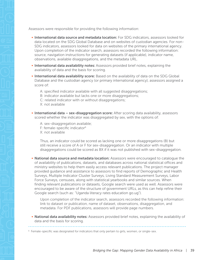Assessors were responsible for providing the following information:

- **International data source and metadata location:** For SDG indicators, assessors looked for data located on the SDG Global Database and on websites of custodian agencies. For non-SDG indicators, assessors looked for data on websites of the primary international agency. Upon completion of the indicator search, assessors recorded the following information: source, navigation instructions for generating datasets (if applicable), indicator name, observations, available disaggregations, and the metadata URL.
- **International data availability notes:** Assessors provided brief notes, explaining the availability of data and the basis for scoring.
- **International data availability score:** Based on the availability of data on the SDG Global Database and the custodian agency (or primary international agency), assessors assigned a score of:
	- A: specified indicator available with all suggested disaggregations;
	- B: indicator available but lacks one or more disaggregations;
	- C: related indicator with or without disaggregations;
	- X: not available
- International data sex-disaggregation score: After scoring data availability, assessors scored whether the indicator was disaggregated by sex, with the options of:
	- A: sex-disaggregation available;
	- F: female-specific indicator<sup>6</sup>
	- X: not available

Thus, an indicator could be scored as lacking one or more disaggregations (B) but still receive a score of A or F for sex-disaggregation. Or an indicator with multiple disaggregations could be scored as BX if it was not published with sex-disaggregation.

• National data source and metadata location: Assessors were encouraged to catalogue the of availability of publications, datasets, and databases across national statistical offices and ministry websites to help them easily access relevant publications. The project manager provided guidance and assistance to assessors to find reports of Demographic and Health Surveys, Multiple Indicator Cluster Surveys, Living Standard Measurement Surveys, Labor Force Surveys, censuses, along with statistical yearbooks and similar sources. When finding relevant publications or datasets, Google search were used as well. Assessors were encouraged to be aware of the structure of government URLs, as this can help refine their Google search (such as: "Uganda literacy rates education go.ug").

Upon completion of the indicator search, assessors recorded the following information: link to dataset or publication, name of dataset, observations, disaggregation, and metadata. For PDF publications, assessors will provide page numbers.

• National data availability notes: Assessors provided brief notes, explaining the availability of data and the basis for scoring.

<sup>&</sup>lt;sup>6</sup> Female-specific was designated for indicators that only pertain to girls, women, or single-sex.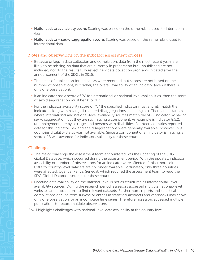- <span id="page-43-0"></span>
- National data availability score: Scoring was based on the same rubric used for international data.
- National data sex-disaggregation score: Scoring was based on the same rubric used for international data.

#### Notes and observations on the indicator assessment process

- **Because of lags in data collection and compilation, data from the most recent years are** likely to be missing, so data that are currently in preparation but unpublished are not included, nor do the results fully reflect new data collection programs initiated after the announcement of the SDGs in 2015.
- The dates of publication for indicators were recorded, but scores are not based on the number of observations, but rather, the overall availability of an indicator (even if there is only one observation).
- § If an indicator has a score of "A" for international or national level availabilities, then the score of sex-disaggregation must be "A" or "F."
- For the indicator availability score of "A," the specified indicator must entirely match the indicator, along with having all required disaggregations, including sex. There are instances where international and national-level availability sources match the SDG indicator by having sex-disaggregation, but they are still missing a component. An example is indicator 8.5.2: unemployment rate by sex, age, and persons with disabilities. Fourteen countries reported data for this indicator. Sex and age disaggregations were generally available; however, in 9 countries disability status was not available. Since a component of an indicator is missing, a score of B was awarded for indicator availability for these countries.

#### Challenges

- The major challenge the assessment team encountered was the updating of the SDG Global Database, which occurred during the assessment period. With the updates, indicator availability or number of observations for an indicator were affected; furthermore, direct URLs to country-level datasets are no longer available. Fortunately, only three countries were affected: Uganda, Kenya, Senegal; which required the assessment team to redo the SDG Global Database sources for these countries.
- Locating data availability on the national-level is not as structured as international-level availability sources. During the research period, assessors accessed multiple national-level websites and publications to find relevant datasets. Furthermore, reports and statistical compilations derived from surveys or entries in statistical abstracts and yearbooks may show only one observation, or an incomplete time series. Therefore, assessors accessed multiple publications to record multiple observations.

Box 1 highlights challenges with national-level data availability at the country level.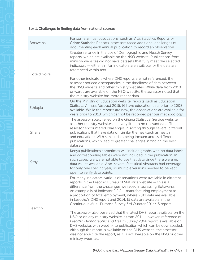| Botswana      | For some annual publications, such as Vital Statistics Reports or<br>Crime Statistics Reports, assessors faced additional challenges of<br>documenting each annual publication to record an observation.                                                                                                                                                                                                                                                                        |
|---------------|---------------------------------------------------------------------------------------------------------------------------------------------------------------------------------------------------------------------------------------------------------------------------------------------------------------------------------------------------------------------------------------------------------------------------------------------------------------------------------|
| Côte d'Ivoire | Greater reliance in the use of Demographic and Health Survey<br>reports, which are available on the NSO website. Publications from<br>ministry websites did not have datasets that fully meet the selected<br>indicators $-$ either similar indicators are available, or the data are<br>referenced within text.                                                                                                                                                                |
|               | For other indicators where DHS reports are not referenced, the<br>assessor noticed discrepancies in the timeliness of data between<br>the NSO website and other ministry websites. While data from 2010<br>onwards are available on the NSO website, the assessor noted that<br>the ministry website has more recent data.                                                                                                                                                      |
| Ethiopia      | On the Ministry of Education website, reports such as Education<br>Statistics Annual Abstract 2015/16 have education data prior to 2008<br>available. While the reports are new, the observations are available for<br>years prior to 2010, which cannot be recorded per our methodology.                                                                                                                                                                                       |
| Ghana         | The assessor solely relied on the Ghana Statistical Service website,<br>as other ministry websites had very little to no relevant data. The<br>assessor encountered challenges in sorting through several different<br>publications that have data on similar themes (such as health<br>and education). With similar data being located across different<br>publications, which lead to greater challenges in finding the best<br>datasets.                                     |
| Kenya         | Kenya publications sometimes will include graphs with no data labels,<br>and corresponding tables were not included in the publication. In<br>such cases, we were not able to use that data since there were no<br>data values available. Also, several Statistical Abstracts had coverage<br>for only one specific year, so multiple versions needed to be kept<br>open to verify data points.                                                                                 |
| Lesotho       | For many indicators, various observations were available in different<br>reports in the Lesotho Bureau of Statistics website - this is a<br>difference from the challenges we faced in assessing Botswana.<br>An example is of indicator 9.2.2 - manufacturing employment as<br>a proportion of total employment, where 2011 data are available<br>in Lesotho's DHS report and 2014/15 data are available in the<br>Continuous Multi-Purpose Survey 3rd Quarter 2014/15 report. |
|               | The assessor also observed that the latest DHS report available on the<br>NSO or on any ministry website is from 2011. However, reference of<br>Lesotho Demographic and Health Survey 2014 report is available on<br>DHS website, with weblink to publication which can be downloaded.<br>Although the report is available on the DHS website, the assessor<br>was not able cite the report, as it is not available on the NSO or other<br>ministry websites.                   |
|               |                                                                                                                                                                                                                                                                                                                                                                                                                                                                                 |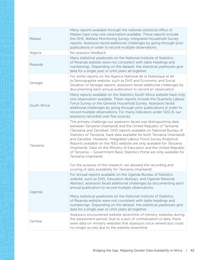| Malawi       | Many reports available through the national statistical office of<br>Malawi have only one observation available. These reports include<br>the DHS, Welfare Monitoring Survey, Integrated Household Survey<br>reports. Assessors faced additional challenges by going through prior<br>publications in order to record multiple observations.                                                                                                                                                                                                                                                                                                                                                                                                |
|--------------|---------------------------------------------------------------------------------------------------------------------------------------------------------------------------------------------------------------------------------------------------------------------------------------------------------------------------------------------------------------------------------------------------------------------------------------------------------------------------------------------------------------------------------------------------------------------------------------------------------------------------------------------------------------------------------------------------------------------------------------------|
| Nigeria      | No assessor feedback                                                                                                                                                                                                                                                                                                                                                                                                                                                                                                                                                                                                                                                                                                                        |
| Rwanda       | Many statistical yearbooks on the National Institute of Statistics<br>of Rwanda website were not consistent with table headings and<br>numberings. Depending on the dataset, the statistical yearbooks give<br>data for a single year or omit years all together.                                                                                                                                                                                                                                                                                                                                                                                                                                                                           |
| Senegal      | For some reports on the Agence National de la Statistique et de<br>la Démographie website, such as DHS and Economic and Social<br>Situation of Senegal reports, assessors faced additional challenges by<br>documenting each annual publication to record an observation.                                                                                                                                                                                                                                                                                                                                                                                                                                                                   |
| South Africa | Many reports available on the Statistics South Africa website have only<br>one observation available. These reports include the Quarterly Labour<br>Force Survey or the General Household Survey. Assessors faced<br>additional challenges by going through prior publications in order to<br>record multiple observations. For many indicators under SDG 8, our<br>assessors recorded over five sources.                                                                                                                                                                                                                                                                                                                                   |
| Tanzania     | The primary challenge our assessors faced was distinguishing data<br>between Tanzania (mainland) and the United Republic of Tanzania<br>(Tanzania and Zanzibar). DHS reports available on National Bureau of<br>Statistics of Tanzania, have data available for both Tanzania (mainland)<br>and Zanzibar. However, Integrated Labour Force Survey Analytical<br>Reports available on the NSO website are only available for Tanzania<br>(mainland). Data on the Ministry of Education and the United Republic<br>of Tanzania - Government Basic Statistics Portal are only available for<br>Tanzania (mainland).<br>For the purpose of this research, we allowed the recording and<br>scoring of data availability for Tanzania (mainland). |
| Uganda       | For annual reports available on the Uganda Bureau of Statistics<br>website, such as DHS, Education Abstract, and Uganda National<br>Abstract, assessors faced additional challenges by documenting each<br>annual publication to record multiple observations.<br>Many statistical yearbooks on the National Institute of Statistics<br>of Rwanda website were not consistent with table headings and<br>numberings. Depending on the dataset, the statistical yearbooks give<br>data for a single year or omit years all together.                                                                                                                                                                                                         |
| Zambia       | Assessors encountered website downtime of ministry websites during<br>the assessment period. Due to a lack of centralization of data, there<br>were data on ministry websites that assessors once viewed but could<br>no longer access due to the website downtime.                                                                                                                                                                                                                                                                                                                                                                                                                                                                         |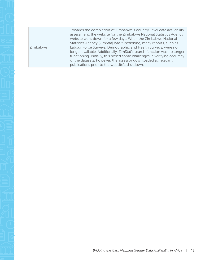Zimbabwe Towards the completion of Zimbabwe's country-level data availability assessment, the website for the Zimbabwe National Statistics Agency website went down for a few days. When the Zimbabwe National Statistics Agency (ZimStat) was functioning, many reports, such as Labour Force Surveys, Demographic and Health Surveys, were no longer available. Additionally, ZimStat's search function was no longer functioning. Initially, this posed some challenges in verifying accuracy of the datasets, however, the assessor downloaded all relevant publications prior to the website's shutdown.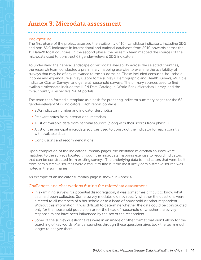## <span id="page-47-0"></span>Annex 3: Microdata assessment

#### Background

The first phase of the project assessed the availability of 104 candidate indicators, including SDG and non-SDG indicators in international and national databases from 2010 onwards across the 15 Data2X focal countries. In the second phase, the research team mapped the sources of the microdata used to construct 68 gender-relevant SDG indicators.

To understand the general landscape of microdata availability across the selected countries, the research team conducted a preliminary mapping exercise to examine the availability of surveys that may be of any relevance to the six domains. These included censuses, household income and expenditure surveys, labor force surveys, Demographic and Health surveys, Multiple Indicator Cluster Surveys, and general household surveys. The primary sources used to find available microdata include the IHSN Data Catalogue, World Bank Microdata Library, and the focal country's respective NADA portals.

The team then formed a template as a basis for preparing indicator summary pages for the 68 gender-relevant SDG indicators. Each report contains:

- **SDG indicator number and indicator description**
- Relevant notes from international metadata
- A list of available data from national sources (along with their scores from phase I)
- A list of the principal microdata sources used to construct the indicator for each country with available data
- Conclusions and recommendations

Upon completion of the indicator summary pages, the identified microdata sources were matched to the surveys located through the microdata mapping exercise to record indicators that can be constructed from existing surveys. The underlying data for indicators that were built from administrative sources were difficult to find but the most likely administrative source was noted in the summaries.

An example of an indicator summary page is shown in Annex 4.

#### Challenges and observations during the microdata assessment

- In examining surveys for potential disaggregation, it was sometimes difficult to know what data had been collected. Some survey modules did not specify whether the questions were directed to all members of a household or to a head of household or other respondent. Without this information, it was difficult to determine whether the data could be constructed only for the household population or for the head of household or whether the survey response might have been influenced by the sex of the respondent.
- Some of the survey questionnaires were in an image or other format that didn't allow for the searching of key words. Manual searches through these questionnaires took the team much longer to analyze them.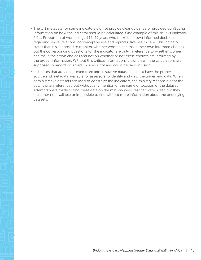- The UN metadata for some indicators did not provide clear guidance or provided conflicting information on how the indicator should be calculated. One example of this issue is Indicator 5.6.1: Proportion of women aged 15-49 years who make their own informed decisions regarding sexual relations, contraceptive use and reproductive health care. This indicator states that it is supposed to monitor whether women can make their own informed choices but the corresponding questions for the indicator are only in reference to whether women can make their own choices and not on whether or not those choices are informed by the proper information. Without this critical information, it is unclear if the calculations are supposed to record informed choice or not and could cause confusion.
- Indicators that are constructed from administrative datasets did not have the proper source and metadata available for assessors to identify and view the underlying data. When administrative datasets are used to construct the indicators, the ministry responsible for the data is often referenced but without any mention of the name or location of the dataset. Attempts were made to find these data on the ministry websites that were noted but they are either not available or impossible to find without more information about the underlying datasets.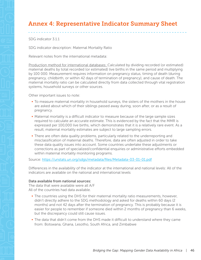## <span id="page-49-0"></span>Annex 4: Representative Indicator Summary Sheet

SDG indicator 3.1.1

SDG indicator description: Maternal Mortality Ratio

Relevant notes from the international metadata:

Production method for international databases: Calculated by dividing recorded (or estimated) maternal deaths by total recorded (or estimated) live births in the same period and multiplying by 100 000. Measurement requires information on pregnancy status, timing of death (during pregnancy, childbirth, or within 42 days of termination of pregnancy), and cause of death. The maternal mortality ratio can be calculated directly from data collected through vital registration systems, household surveys or other sources.

Other important issues to note:

- To measure maternal mortality in household surveys, the sisters of the mothers in the house are asked about which of their siblings passed away during, soon after, or as a result of pregnancy.
- Maternal mortality is a difficult indicator to measure because of the large sample sizes required to calculate an accurate estimate. This is evidenced by the fact that the MMR is expressed per 100,000 live births, which demonstrates that it is a relatively rare event. As a result, maternal mortality estimates are subject to large sampling errors.
- There are often data quality problems, particularly related to the underreporting and misclassification of maternal deaths. Therefore, data are often adjusted in order to take these data quality issues into account. Some countries undertake these adjustments or corrections as part of specialized/confidential enquiries or administrative efforts embedded within maternal mortality monitoring programs.

Source: <https://unstats.un.org/sdgs/metadata/files/Metadata-03-01-01.pdf>

Differences in the availability of the indicator at the international and national levels: All of the indicators are available on the national and international levels

#### Data available from national sources:

The data that were available were all A/F All of the countries had data available.

- The countries using the DHS for their maternal mortality ratio measurements, however, didn't directly adhere to the SDG methodology and asked for deaths within 60 days (2 months) and not 42 days after the termination of pregnancy. This is probably because it is easier for people to remember if someone died within 2 months of pregnancy than 6 weeks, but the discrepancy could still cause issues.
- The data that didn't come from the DHS made it difficult to understand where they came from: Botswana, Ghana, Lesotho, South Africa, and Zimbabwe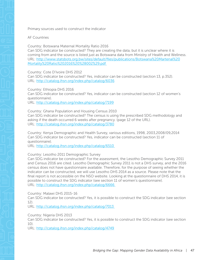#### Primary sources used to construct the indicator

#### AF Countries

Country: Botswana Maternal Mortality Ratio 2016

Can SDG indicator be constructed? They are creating the data, but it is unclear where it is coming from and the source is listed just as Botswana data from Ministry of Health and Wellness. URL: [http://www.statsbots.org.bw/sites/default/files/publications/Botswana%20Martenal%20](http://www.statsbots.org.bw/sites/default/files/publications/Botswana%20Martenal%20Mortality%20Ratio%202016%20%28002%29.pdf ) [Mortality%20Ratio%202016%20%28002%29.pdf](http://www.statsbots.org.bw/sites/default/files/publications/Botswana%20Martenal%20Mortality%20Ratio%202016%20%28002%29.pdf ) 

Country: Cote D'Ivoire DHS 2012

Can SDG indicator be constructed? Yes, indicator can be constructed (section 13, p.352). URL: <http://catalog.ihsn.org/index.php/catalog/6036>

Country: Ethiopia DHS 2016

Can SDG indicator be constructed? Yes, indicator can be constructed (section 12 of women's questionnaire).

URL: <http://catalog.ihsn.org/index.php/catalog/7199>

Country: Ghana Population and Housing Census 2010 Can SDG indicator be constructed? The census is using the prescribed SDG methodology and asking if the death occurred 6 weeks after pregnancy. (page 12 of the URL). URL: <http://catalog.ihsn.org/index.php/catalog/3780>

Country: Kenya Demographic and Health Survey, various editions, 1998, 2003,2008/09,2014 Can SDG indicator be constructed? Yes, indicator can be constructed (section 11 of questionnaire).

URL: [http://catalog.ihsn.org/index.php/catalog/6510](http://catalog.ihsn.org/index.php/catalog/6510 ) 

#### Country: Lesotho 2011 Demographic Survey

Can SDG indicator be constructed? For the assessment, the Lesotho Demographic Survey 2011 and Census 2016 are cited. Lesotho Demographic Survey 2011 is not a DHS survey, and the 2016 census does not have questionnaire available. Therefore, for the purpose of seeing whether the indicator can be constructed, we will use Lesotho DHS 2014 as a source. Please note that the final report is not accessible on the NSO website. Looking at the questionnaire of DHS 2014, it is possible to construct the SDG indicator (see section 11 of women's questionnaire). URL: [http://catalog.ihsn.org/index.php/catalog/6666](http://catalog.ihsn.org/index.php/catalog/6666 ) 

Country: Malawi DHS 2015-16

Can SDG indicator be constructed? Yes, it is possible to construct the SDG indicator (see section 12).

URL: [http://catalog.ihsn.org/index.php/catalog/7013](http://catalog.ihsn.org/index.php/catalog/7013 ) 

Country: Nigeria DHS 2013

Can SDG indicator be constructed? Yes, it is possible to construct the SDG indicator (see section  $1()$ 

URL: <http://catalog.ihsn.org/index.php/catalog/4749>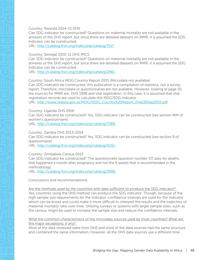#### Country: Rwanda 2014-15 DHS

Can SDG indicator be constructed? Questions on maternal mortality are not available in the annexes of the DHS report, but since there are detailed datasets on MMR, it is assumed the SDG indicator can be constructed.

URL: <http://catalog.ihsn.org/index.php/catalog/7117>

#### Country: Senegal 2010-11 DHS MICS

Can SDG indicator be constructed? Questions on maternal mortality are not available in the annexes of the DHS report, but since there are detailed datasets on MMR, it is assumed the SDG indicator can be constructed.

URL: [http://catalog.ihsn.org/index.php/catalog/2461](http://catalog.ihsn.org/index.php/catalog/2461 ) 

Country: South Africa MDG Country Report 2015 (Microdata not available) Can SDG Indicator be constructed: this publication is a compilation of statistics, not a survey report. Therefore, microdata or questionnaires are not available. However, looking at page 10, the sources for MMR are: DHS 1998 and vital registration. In this case, it is assumed that vital registration records are used to calculate this MDG/SDG indicator.

URL: [http://www.statssa.gov.za/MDG/MDG\\_Country%20Report\\_Final30Sep2015.pdf](http://www.statssa.gov.za/MDG/MDG_Country%20Report_Final30Sep2015.pdf)

Country: Uganda DHS 2016

Can SDG indicator be constructed? Yes, SDG indicator can be constructed (see section MM of women's questionnaire).

URL: [http://catalog.ihsn.org/index.php/catalog/7389](http://catalog.ihsn.org/index.php/catalog/7389 ) 

#### Country: Zambia DHS 2013-2014

Can SDG indicator be constructed? Yes, SDG indicator can be constructed (see section 9 of questionnaire).

URL: [http://catalog.ihsn.org/index.php/catalog/6251](http://catalog.ihsn.org/index.php/catalog/6251 ) 

#### Country: Zimbabwe Census 2012

Can SDG indicator be constructed? The questionnaire (question number 37) asks for deaths that happened a month after pregnancy and not the 6 weeks that is recommended in the methodology.

URL: [http://catalog.ihsn.org/index.php/catalog/2986](http://catalog.ihsn.org/index.php/catalog/2986 ) 

Conclusions and recommendations

Are the methods used by the countries with data sufficient to produce the SDG indicator? Yes, countries using the DHS method can produce the SDG indicator. Though, because of the high sample size requirements for the indicator, confidence intervals are used for the indicator which can be broad and could make it more difficult to interpret the results and the trajectory of maternal mortality ratio over time. Utilizing surveys or systems with larger sample sizes, such as the census, might be used to increase the sample size and reduce the confidence intervals.

#### What the common characteristics of the microdata sources used by most countries? What are the major exceptions, if any?

Most of the data reviewed were from DHS and most of the data sources had the same structure and contained the same information. However, all the DHS data sources use a different time